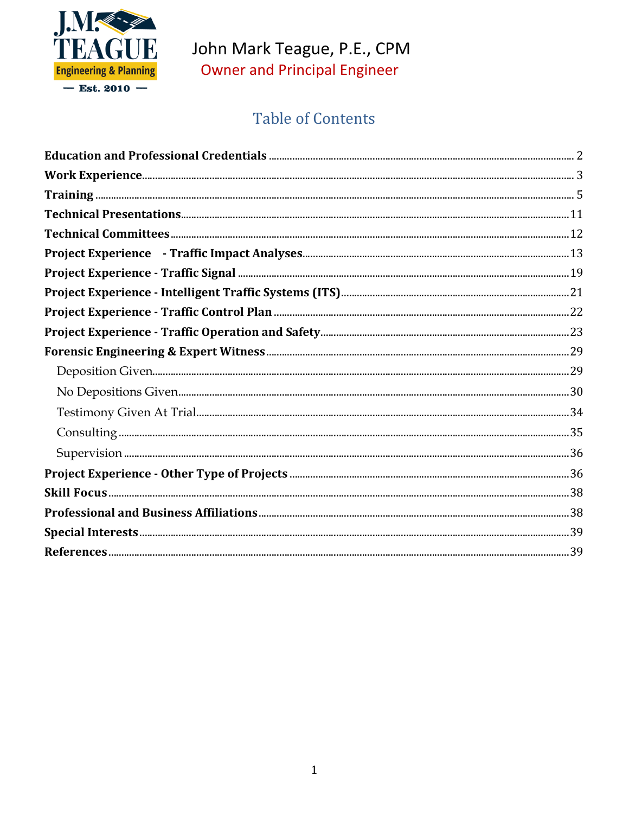

# John Mark Teague, P.E., CPM **Owner and Principal Engineer**

## **Table of Contents**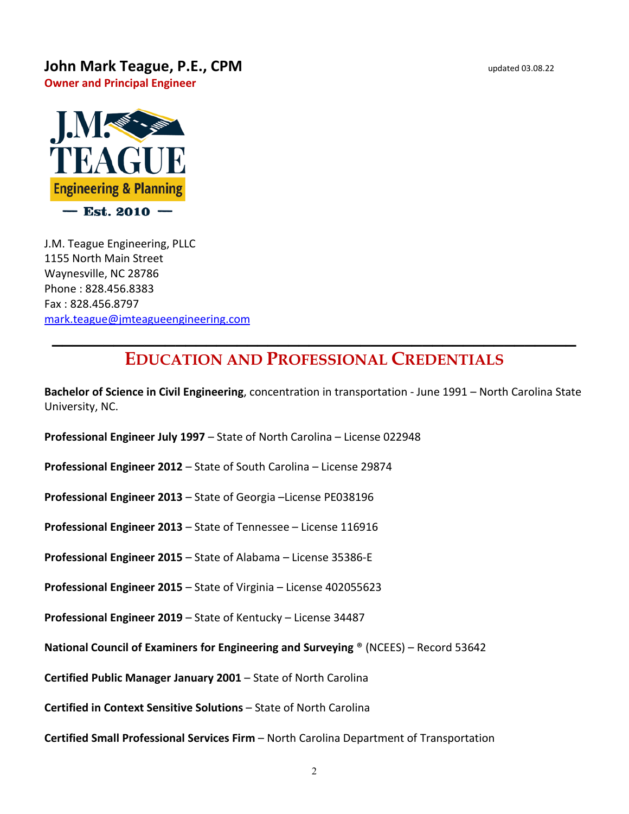#### **John Mark Teague, P.E., CPM** updated 03.08.22

**Owner and Principal Engineer**



J.M. Teague Engineering, PLLC 1155 North Main Street Waynesville, NC 28786 Phone : 828.456.8383 Fax : 828.456.8797 [mark.teague@jmteagueengineering.com](mailto:mark.teague@jmteagueengineering.com)

#### <span id="page-1-0"></span>**\_\_\_\_\_\_\_\_\_\_\_\_\_\_\_\_\_\_\_\_\_\_\_\_\_\_\_\_\_\_\_\_\_\_\_\_\_\_\_\_\_\_\_\_\_\_\_\_\_\_\_ EDUCATION AND PROFESSIONAL CREDENTIALS**

**Bachelor of Science in Civil Engineering**, concentration in transportation - June 1991 – North Carolina State University, NC.

**Professional Engineer July 1997** – State of North Carolina – License 022948

**Professional Engineer 2012** – State of South Carolina – License 29874

**Professional Engineer 2013** – State of Georgia –License PE038196

**Professional Engineer 2013** – State of Tennessee – License 116916

**Professional Engineer 2015** – State of Alabama – License 35386-E

**Professional Engineer 2015** – State of Virginia – License 402055623

**Professional Engineer 2019** – State of Kentucky – License 34487

**National Council of Examiners for Engineering and Surveying** ® (NCEES) – Record 53642

**Certified Public Manager January 2001** – State of North Carolina

**Certified in Context Sensitive Solutions** – State of North Carolina

**Certified Small Professional Services Firm** – North Carolina Department of Transportation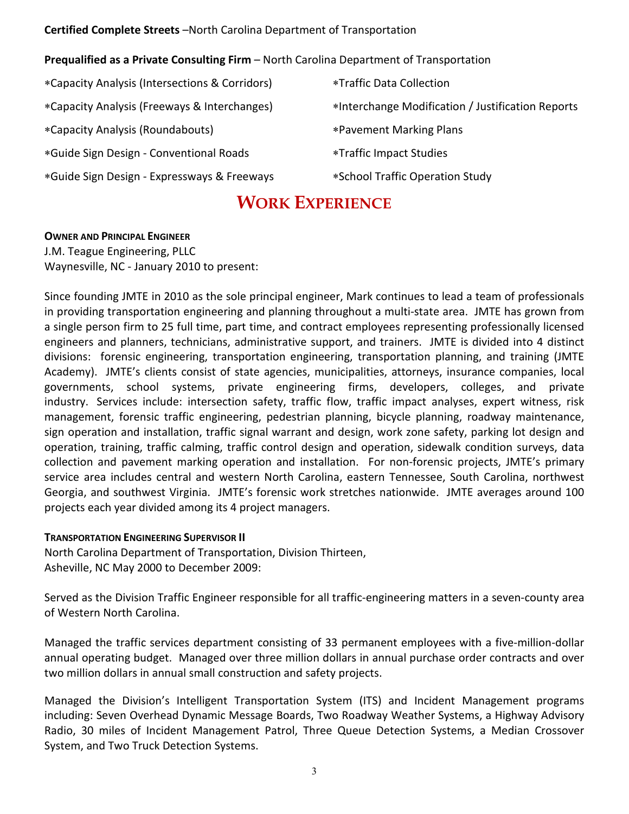#### **Certified Complete Streets** –North Carolina Department of Transportation

#### **Prequalified as a Private Consulting Firm** – North Carolina Department of Transportation

∗Capacity Analysis (Intersections & Corridors) ∗Capacity Analysis (Freeways & Interchanges) ∗Capacity Analysis (Roundabouts) ∗Guide Sign Design - Conventional Roads ∗Guide Sign Design - Expressways & Freeways

- ∗Traffic Data Collection
- ∗Interchange Modification / Justification Reports
- ∗Pavement Marking Plans
- ∗Traffic Impact Studies

<span id="page-2-0"></span>

∗School Traffic Operation Study

#### **WORK EXPERIENCE**

#### **OWNER AND PRINCIPAL ENGINEER**

J.M. Teague Engineering, PLLC Waynesville, NC - January 2010 to present:

Since founding JMTE in 2010 as the sole principal engineer, Mark continues to lead a team of professionals in providing transportation engineering and planning throughout a multi-state area. JMTE has grown from a single person firm to 25 full time, part time, and contract employees representing professionally licensed engineers and planners, technicians, administrative support, and trainers. JMTE is divided into 4 distinct divisions: forensic engineering, transportation engineering, transportation planning, and training (JMTE Academy). JMTE's clients consist of state agencies, municipalities, attorneys, insurance companies, local governments, school systems, private engineering firms, developers, colleges, and private industry. Services include: intersection safety, traffic flow, traffic impact analyses, expert witness, risk management, forensic traffic engineering, pedestrian planning, bicycle planning, roadway maintenance, sign operation and installation, traffic signal warrant and design, work zone safety, parking lot design and operation, training, traffic calming, traffic control design and operation, sidewalk condition surveys, data collection and pavement marking operation and installation. For non-forensic projects, JMTE's primary service area includes central and western North Carolina, eastern Tennessee, South Carolina, northwest Georgia, and southwest Virginia. JMTE's forensic work stretches nationwide. JMTE averages around 100 projects each year divided among its 4 project managers.

#### **TRANSPORTATION ENGINEERING SUPERVISOR II**

North Carolina Department of Transportation, Division Thirteen, Asheville, NC May 2000 to December 2009:

Served as the Division Traffic Engineer responsible for all traffic-engineering matters in a seven-county area of Western North Carolina.

Managed the traffic services department consisting of 33 permanent employees with a five-million-dollar annual operating budget. Managed over three million dollars in annual purchase order contracts and over two million dollars in annual small construction and safety projects.

Managed the Division's Intelligent Transportation System (ITS) and Incident Management programs including: Seven Overhead Dynamic Message Boards, Two Roadway Weather Systems, a Highway Advisory Radio, 30 miles of Incident Management Patrol, Three Queue Detection Systems, a Median Crossover System, and Two Truck Detection Systems.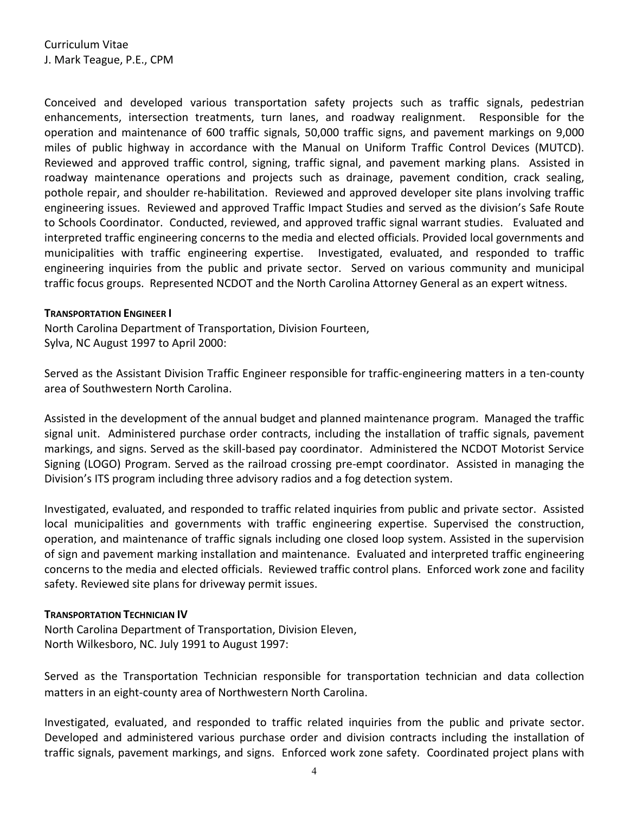Conceived and developed various transportation safety projects such as traffic signals, pedestrian enhancements, intersection treatments, turn lanes, and roadway realignment. Responsible for the operation and maintenance of 600 traffic signals, 50,000 traffic signs, and pavement markings on 9,000 miles of public highway in accordance with the Manual on Uniform Traffic Control Devices (MUTCD). Reviewed and approved traffic control, signing, traffic signal, and pavement marking plans. Assisted in roadway maintenance operations and projects such as drainage, pavement condition, crack sealing, pothole repair, and shoulder re-habilitation. Reviewed and approved developer site plans involving traffic engineering issues. Reviewed and approved Traffic Impact Studies and served as the division's Safe Route to Schools Coordinator. Conducted, reviewed, and approved traffic signal warrant studies. Evaluated and interpreted traffic engineering concerns to the media and elected officials. Provided local governments and municipalities with traffic engineering expertise. Investigated, evaluated, and responded to traffic engineering inquiries from the public and private sector. Served on various community and municipal traffic focus groups. Represented NCDOT and the North Carolina Attorney General as an expert witness.

#### **TRANSPORTATION ENGINEER I**

North Carolina Department of Transportation, Division Fourteen, Sylva, NC August 1997 to April 2000:

Served as the Assistant Division Traffic Engineer responsible for traffic-engineering matters in a ten-county area of Southwestern North Carolina.

Assisted in the development of the annual budget and planned maintenance program. Managed the traffic signal unit. Administered purchase order contracts, including the installation of traffic signals, pavement markings, and signs. Served as the skill-based pay coordinator. Administered the NCDOT Motorist Service Signing (LOGO) Program. Served as the railroad crossing pre-empt coordinator. Assisted in managing the Division's ITS program including three advisory radios and a fog detection system.

Investigated, evaluated, and responded to traffic related inquiries from public and private sector. Assisted local municipalities and governments with traffic engineering expertise. Supervised the construction, operation, and maintenance of traffic signals including one closed loop system. Assisted in the supervision of sign and pavement marking installation and maintenance. Evaluated and interpreted traffic engineering concerns to the media and elected officials. Reviewed traffic control plans. Enforced work zone and facility safety. Reviewed site plans for driveway permit issues.

#### **TRANSPORTATION TECHNICIAN IV**

North Carolina Department of Transportation, Division Eleven, North Wilkesboro, NC. July 1991 to August 1997:

Served as the Transportation Technician responsible for transportation technician and data collection matters in an eight-county area of Northwestern North Carolina.

Investigated, evaluated, and responded to traffic related inquiries from the public and private sector. Developed and administered various purchase order and division contracts including the installation of traffic signals, pavement markings, and signs. Enforced work zone safety. Coordinated project plans with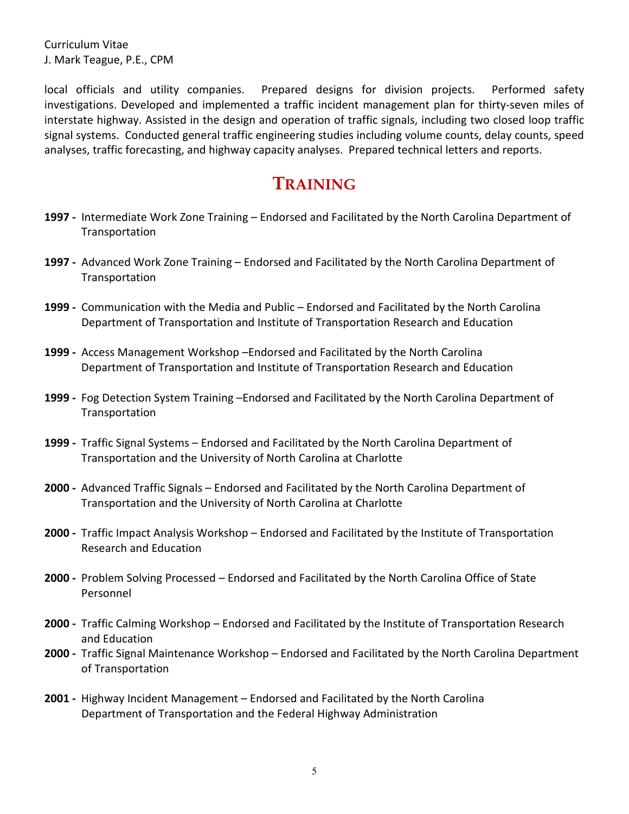local officials and utility companies. Prepared designs for division projects. Performed safety investigations. Developed and implemented a traffic incident management plan for thirty-seven miles of interstate highway. Assisted in the design and operation of traffic signals, including two closed loop traffic signal systems. Conducted general traffic engineering studies including volume counts, delay counts, speed analyses, traffic forecasting, and highway capacity analyses. Prepared technical letters and reports.

#### **TRAINING**

- <span id="page-4-0"></span>**1997 -** Intermediate Work Zone Training – Endorsed and Facilitated by the North Carolina Department of Transportation
- **1997 -** Advanced Work Zone Training Endorsed and Facilitated by the North Carolina Department of Transportation
- **1999 -** Communication with the Media and Public Endorsed and Facilitated by the North Carolina Department of Transportation and Institute of Transportation Research and Education
- **1999 -** Access Management Workshop –Endorsed and Facilitated by the North Carolina Department of Transportation and Institute of Transportation Research and Education
- **1999 -** Fog Detection System Training –Endorsed and Facilitated by the North Carolina Department of Transportation
- **1999 -** Traffic Signal Systems Endorsed and Facilitated by the North Carolina Department of Transportation and the University of North Carolina at Charlotte
- **2000 -** Advanced Traffic Signals Endorsed and Facilitated by the North Carolina Department of Transportation and the University of North Carolina at Charlotte
- **2000 -** Traffic Impact Analysis Workshop Endorsed and Facilitated by the Institute of Transportation Research and Education
- **2000 -** Problem Solving Processed Endorsed and Facilitated by the North Carolina Office of State Personnel
- **2000 -** Traffic Calming Workshop Endorsed and Facilitated by the Institute of Transportation Research and Education
- **2000 -** Traffic Signal Maintenance Workshop Endorsed and Facilitated by the North Carolina Department of Transportation
- **2001 -** Highway Incident Management Endorsed and Facilitated by the North Carolina Department of Transportation and the Federal Highway Administration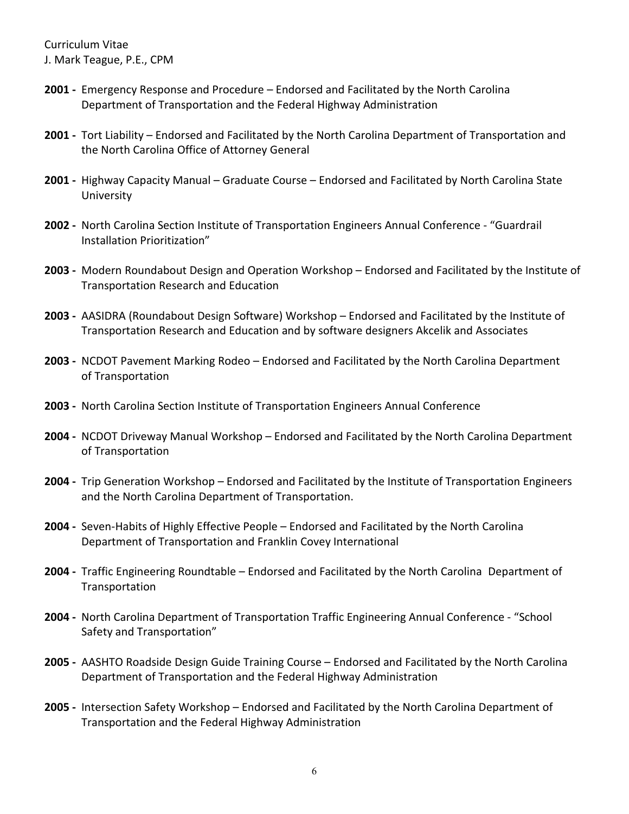- **2001 -** Emergency Response and Procedure Endorsed and Facilitated by the North Carolina Department of Transportation and the Federal Highway Administration
- **2001 -** Tort Liability Endorsed and Facilitated by the North Carolina Department of Transportation and the North Carolina Office of Attorney General
- **2001 -** Highway Capacity Manual Graduate Course Endorsed and Facilitated by North Carolina State University
- **2002 -** North Carolina Section Institute of Transportation Engineers Annual Conference "Guardrail Installation Prioritization"
- **2003 -** Modern Roundabout Design and Operation Workshop Endorsed and Facilitated by the Institute of Transportation Research and Education
- **2003 -** AASIDRA (Roundabout Design Software) Workshop Endorsed and Facilitated by the Institute of Transportation Research and Education and by software designers Akcelik and Associates
- **2003 -** NCDOT Pavement Marking Rodeo Endorsed and Facilitated by the North Carolina Department of Transportation
- **2003 -** North Carolina Section Institute of Transportation Engineers Annual Conference
- **2004 -** NCDOT Driveway Manual Workshop Endorsed and Facilitated by the North Carolina Department of Transportation
- **2004 -** Trip Generation Workshop Endorsed and Facilitated by the Institute of Transportation Engineers and the North Carolina Department of Transportation.
- **2004 -** Seven-Habits of Highly Effective People Endorsed and Facilitated by the North Carolina Department of Transportation and Franklin Covey International
- **2004 -** Traffic Engineering Roundtable Endorsed and Facilitated by the North Carolina Department of **Transportation**
- **2004 -** North Carolina Department of Transportation Traffic Engineering Annual Conference "School Safety and Transportation"
- **2005 -** AASHTO Roadside Design Guide Training Course Endorsed and Facilitated by the North Carolina Department of Transportation and the Federal Highway Administration
- **2005 -** Intersection Safety Workshop Endorsed and Facilitated by the North Carolina Department of Transportation and the Federal Highway Administration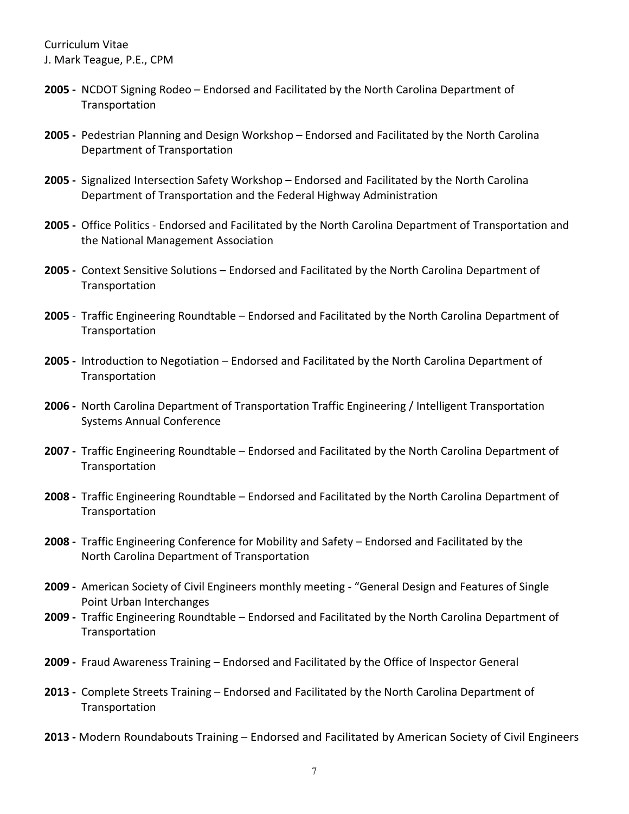- **2005 -** NCDOT Signing Rodeo Endorsed and Facilitated by the North Carolina Department of **Transportation**
- **2005 -** Pedestrian Planning and Design Workshop Endorsed and Facilitated by the North Carolina Department of Transportation
- **2005 -** Signalized Intersection Safety Workshop Endorsed and Facilitated by the North Carolina Department of Transportation and the Federal Highway Administration
- **2005 -** Office Politics Endorsed and Facilitated by the North Carolina Department of Transportation and the National Management Association
- **2005 -** Context Sensitive Solutions Endorsed and Facilitated by the North Carolina Department of Transportation
- **2005**  Traffic Engineering Roundtable Endorsed and Facilitated by the North Carolina Department of **Transportation**
- **2005 -** Introduction to Negotiation Endorsed and Facilitated by the North Carolina Department of **Transportation**
- **2006 -** North Carolina Department of Transportation Traffic Engineering / Intelligent Transportation Systems Annual Conference
- **2007 -** Traffic Engineering Roundtable Endorsed and Facilitated by the North Carolina Department of Transportation
- **2008 -** Traffic Engineering Roundtable Endorsed and Facilitated by the North Carolina Department of Transportation
- **2008 -** Traffic Engineering Conference for Mobility and Safety Endorsed and Facilitated by the North Carolina Department of Transportation
- **2009 -** American Society of Civil Engineers monthly meeting "General Design and Features of Single Point Urban Interchanges
- **2009 -** Traffic Engineering Roundtable Endorsed and Facilitated by the North Carolina Department of **Transportation**
- **2009 -** Fraud Awareness Training Endorsed and Facilitated by the Office of Inspector General
- **2013 -** Complete Streets Training Endorsed and Facilitated by the North Carolina Department of Transportation
- **2013 -** Modern Roundabouts Training Endorsed and Facilitated by American Society of Civil Engineers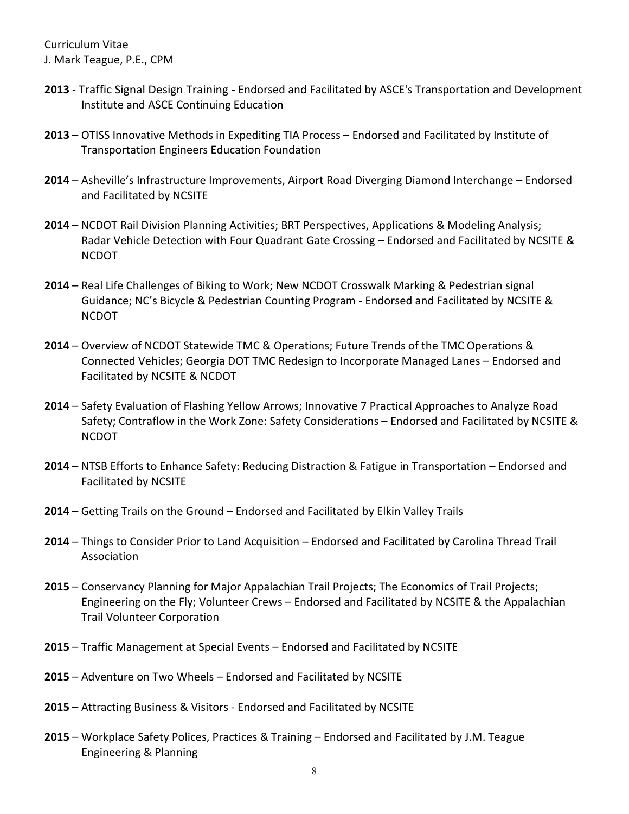- **2013** Traffic Signal Design Training Endorsed and Facilitated by ASCE's Transportation and Development Institute and ASCE Continuing Education
- **2013**  OTISS Innovative Methods in Expediting TIA Process Endorsed and Facilitated by Institute of Transportation Engineers Education Foundation
- **2014**  Asheville's Infrastructure Improvements, Airport Road Diverging Diamond Interchange Endorsed and Facilitated by NCSITE
- **2014** NCDOT Rail Division Planning Activities; BRT Perspectives, Applications & Modeling Analysis; Radar Vehicle Detection with Four Quadrant Gate Crossing – Endorsed and Facilitated by NCSITE & NCDOT
- **2014** Real Life Challenges of Biking to Work; New NCDOT Crosswalk Marking & Pedestrian signal Guidance; NC's Bicycle & Pedestrian Counting Program - Endorsed and Facilitated by NCSITE & NCDOT
- **2014** Overview of NCDOT Statewide TMC & Operations; Future Trends of the TMC Operations & Connected Vehicles; Georgia DOT TMC Redesign to Incorporate Managed Lanes – Endorsed and Facilitated by NCSITE & NCDOT
- **2014** Safety Evaluation of Flashing Yellow Arrows; Innovative 7 Practical Approaches to Analyze Road Safety; Contraflow in the Work Zone: Safety Considerations – Endorsed and Facilitated by NCSITE & NCDOT
- **2014** NTSB Efforts to Enhance Safety: Reducing Distraction & Fatigue in Transportation Endorsed and Facilitated by NCSITE
- **2014** Getting Trails on the Ground Endorsed and Facilitated by Elkin Valley Trails
- **2014** Things to Consider Prior to Land Acquisition Endorsed and Facilitated by Carolina Thread Trail Association
- **2015** Conservancy Planning for Major Appalachian Trail Projects; The Economics of Trail Projects; Engineering on the Fly; Volunteer Crews – Endorsed and Facilitated by NCSITE & the Appalachian Trail Volunteer Corporation
- **2015** Traffic Management at Special Events Endorsed and Facilitated by NCSITE
- **2015** Adventure on Two Wheels Endorsed and Facilitated by NCSITE
- **2015** Attracting Business & Visitors Endorsed and Facilitated by NCSITE
- **2015** Workplace Safety Polices, Practices & Training Endorsed and Facilitated by J.M. Teague Engineering & Planning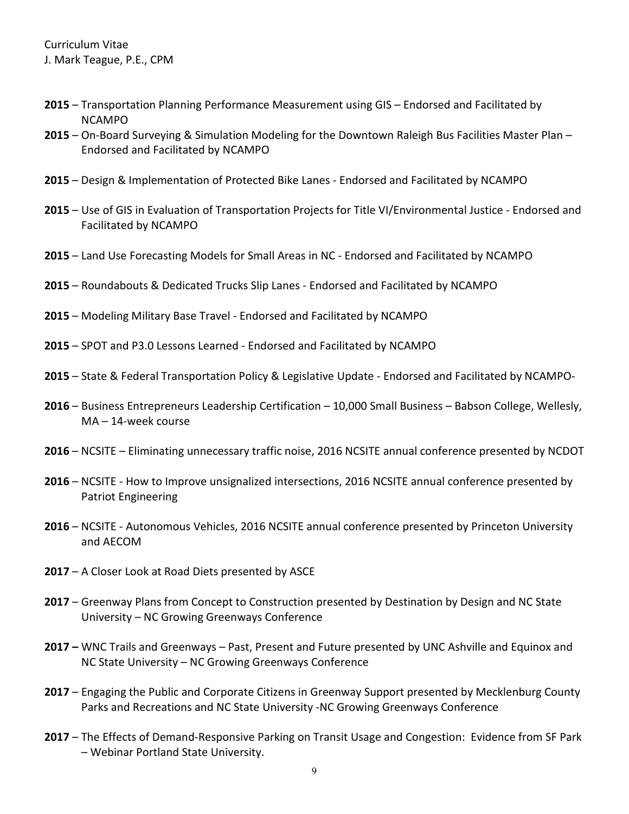- **2015** Transportation Planning Performance Measurement using GIS Endorsed and Facilitated by NCAMPO
- **2015** On-Board Surveying & Simulation Modeling for the Downtown Raleigh Bus Facilities Master Plan Endorsed and Facilitated by NCAMPO
- **2015** Design & Implementation of Protected Bike Lanes Endorsed and Facilitated by NCAMPO
- **2015** Use of GIS in Evaluation of Transportation Projects for Title VI/Environmental Justice Endorsed and Facilitated by NCAMPO
- **2015** Land Use Forecasting Models for Small Areas in NC Endorsed and Facilitated by NCAMPO
- **2015** Roundabouts & Dedicated Trucks Slip Lanes Endorsed and Facilitated by NCAMPO
- **2015** Modeling Military Base Travel Endorsed and Facilitated by NCAMPO
- **2015** SPOT and P3.0 Lessons Learned Endorsed and Facilitated by NCAMPO
- **2015** State & Federal Transportation Policy & Legislative Update Endorsed and Facilitated by NCAMPO-
- **2016**  Business Entrepreneurs Leadership Certification 10,000 Small Business Babson College, Wellesly, MA – 14-week course
- **2016**  NCSITE Eliminating unnecessary traffic noise, 2016 NCSITE annual conference presented by NCDOT
- **2016**  NCSITE How to Improve unsignalized intersections, 2016 NCSITE annual conference presented by Patriot Engineering
- **2016** NCSITE Autonomous Vehicles, 2016 NCSITE annual conference presented by Princeton University and AECOM
- **2017**  A Closer Look at Road Diets presented by ASCE
- **2017** Greenway Plans from Concept to Construction presented by Destination by Design and NC State University – NC Growing Greenways Conference
- **2017 –** WNC Trails and Greenways Past, Present and Future presented by UNC Ashville and Equinox and NC State University – NC Growing Greenways Conference
- **2017** Engaging the Public and Corporate Citizens in Greenway Support presented by Mecklenburg County Parks and Recreations and NC State University -NC Growing Greenways Conference
- **2017** The Effects of Demand-Responsive Parking on Transit Usage and Congestion: Evidence from SF Park – Webinar Portland State University.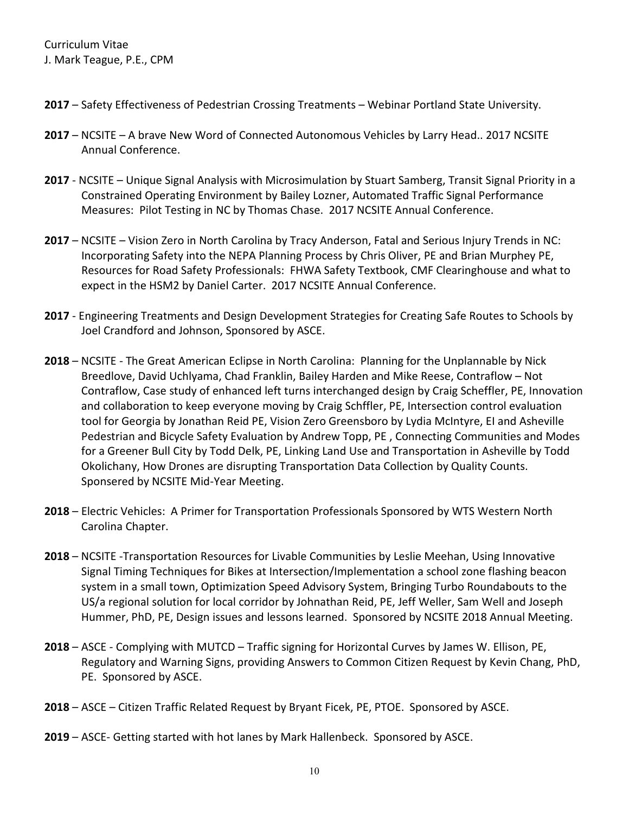- **2017**  Safety Effectiveness of Pedestrian Crossing Treatments Webinar Portland State University.
- **2017** NCSITE A brave New Word of Connected Autonomous Vehicles by Larry Head.. 2017 NCSITE Annual Conference.
- **2017** NCSITE Unique Signal Analysis with Microsimulation by Stuart Samberg, Transit Signal Priority in a Constrained Operating Environment by Bailey Lozner, Automated Traffic Signal Performance Measures: Pilot Testing in NC by Thomas Chase. 2017 NCSITE Annual Conference.
- **2017** NCSITE Vision Zero in North Carolina by Tracy Anderson, Fatal and Serious Injury Trends in NC: Incorporating Safety into the NEPA Planning Process by Chris Oliver, PE and Brian Murphey PE, Resources for Road Safety Professionals: FHWA Safety Textbook, CMF Clearinghouse and what to expect in the HSM2 by Daniel Carter. 2017 NCSITE Annual Conference.
- **2017** Engineering Treatments and Design Development Strategies for Creating Safe Routes to Schools by Joel Crandford and Johnson, Sponsored by ASCE.
- **2018** NCSITE The Great American Eclipse in North Carolina: Planning for the Unplannable by Nick Breedlove, David Uchlyama, Chad Franklin, Bailey Harden and Mike Reese, Contraflow – Not Contraflow, Case study of enhanced left turns interchanged design by Craig Scheffler, PE, Innovation and collaboration to keep everyone moving by Craig Schffler, PE, Intersection control evaluation tool for Georgia by Jonathan Reid PE, Vision Zero Greensboro by Lydia McIntyre, EI and Asheville Pedestrian and Bicycle Safety Evaluation by Andrew Topp, PE , Connecting Communities and Modes for a Greener Bull City by Todd Delk, PE, Linking Land Use and Transportation in Asheville by Todd Okolichany, How Drones are disrupting Transportation Data Collection by Quality Counts. Sponsered by NCSITE Mid-Year Meeting.
- **2018** Electric Vehicles: A Primer for Transportation Professionals Sponsored by WTS Western North Carolina Chapter.
- **2018** NCSITE -Transportation Resources for Livable Communities by Leslie Meehan, Using Innovative Signal Timing Techniques for Bikes at Intersection/Implementation a school zone flashing beacon system in a small town, Optimization Speed Advisory System, Bringing Turbo Roundabouts to the US/a regional solution for local corridor by Johnathan Reid, PE, Jeff Weller, Sam Well and Joseph Hummer, PhD, PE, Design issues and lessons learned. Sponsored by NCSITE 2018 Annual Meeting.
- **2018** ASCE Complying with MUTCD Traffic signing for Horizontal Curves by James W. Ellison, PE, Regulatory and Warning Signs, providing Answers to Common Citizen Request by Kevin Chang, PhD, PE. Sponsored by ASCE.
- **2018** ASCE Citizen Traffic Related Request by Bryant Ficek, PE, PTOE. Sponsored by ASCE.
- **2019** ASCE- Getting started with hot lanes by Mark Hallenbeck. Sponsored by ASCE.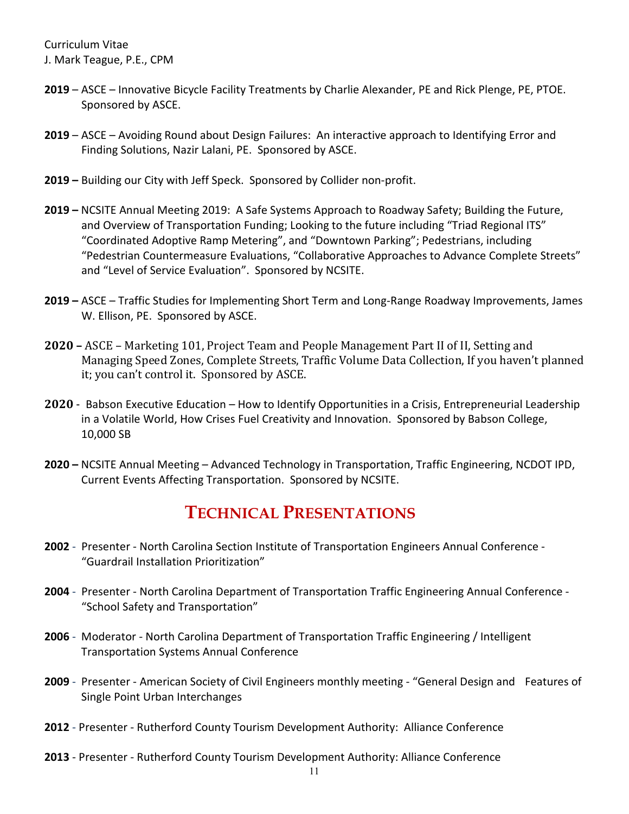- **2019** ASCE Innovative Bicycle Facility Treatments by Charlie Alexander, PE and Rick Plenge, PE, PTOE. Sponsored by ASCE.
- **2019**  ASCE Avoiding Round about Design Failures: An interactive approach to Identifying Error and Finding Solutions, Nazir Lalani, PE. Sponsored by ASCE.
- **2019 –** Building our City with Jeff Speck. Sponsored by Collider non-profit.
- **2019 –** NCSITE Annual Meeting 2019: A Safe Systems Approach to Roadway Safety; Building the Future, and Overview of Transportation Funding; Looking to the future including "Triad Regional ITS" "Coordinated Adoptive Ramp Metering", and "Downtown Parking"; Pedestrians, including "Pedestrian Countermeasure Evaluations, "Collaborative Approaches to Advance Complete Streets" and "Level of Service Evaluation". Sponsored by NCSITE.
- **2019 –** ASCE Traffic Studies for Implementing Short Term and Long-Range Roadway Improvements, James W. Ellison, PE. Sponsored by ASCE.
- **2020 –** ASCE Marketing 101, Project Team and People Management Part II of II, Setting and Managing Speed Zones, Complete Streets, Traffic Volume Data Collection, If you haven't planned it; you can't control it. Sponsored by ASCE.
- **2020** Babson Executive Education How to Identify Opportunities in a Crisis, Entrepreneurial Leadership in a Volatile World, How Crises Fuel Creativity and Innovation. Sponsored by Babson College, 10,000 SB
- **2020 –** NCSITE Annual Meeting Advanced Technology in Transportation, Traffic Engineering, NCDOT IPD, Current Events Affecting Transportation. Sponsored by NCSITE.

## **TECHNICAL PRESENTATIONS**

- <span id="page-10-0"></span>**2002** - Presenter - North Carolina Section Institute of Transportation Engineers Annual Conference - "Guardrail Installation Prioritization"
- **2004** Presenter North Carolina Department of Transportation Traffic Engineering Annual Conference "School Safety and Transportation"
- **2006** Moderator North Carolina Department of Transportation Traffic Engineering / Intelligent Transportation Systems Annual Conference
- **2009** Presenter American Society of Civil Engineers monthly meeting "General Design and Features of Single Point Urban Interchanges
- **2012** Presenter Rutherford County Tourism Development Authority: Alliance Conference
- **2013** Presenter Rutherford County Tourism Development Authority: Alliance Conference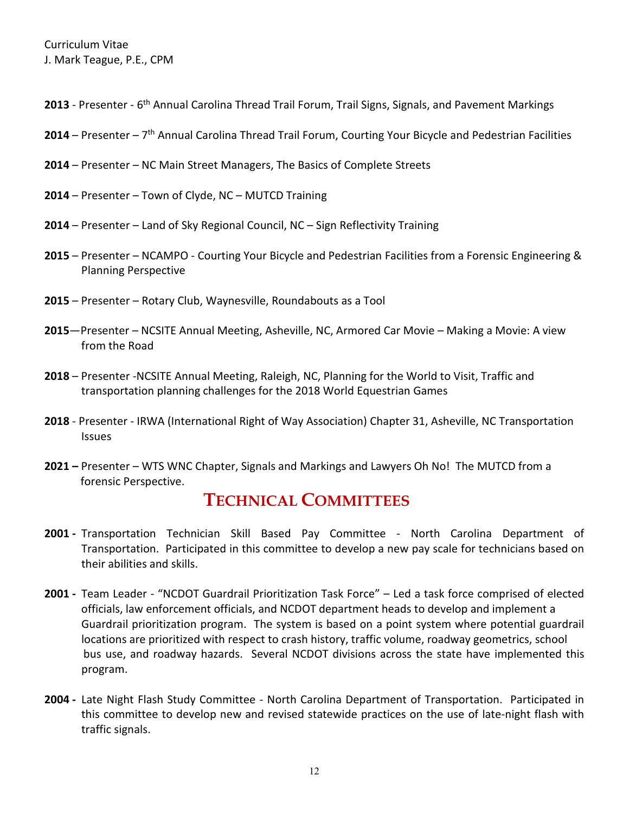- 2013 Presenter 6<sup>th</sup> Annual Carolina Thread Trail Forum, Trail Signs, Signals, and Pavement Markings
- **2014**  Presenter 7th Annual Carolina Thread Trail Forum, Courting Your Bicycle and Pedestrian Facilities
- **2014** Presenter NC Main Street Managers, The Basics of Complete Streets
- **2014** Presenter Town of Clyde, NC MUTCD Training
- **2014** Presenter Land of Sky Regional Council, NC Sign Reflectivity Training
- **2015**  Presenter NCAMPO Courting Your Bicycle and Pedestrian Facilities from a Forensic Engineering & Planning Perspective
- **2015**  Presenter Rotary Club, Waynesville, Roundabouts as a Tool
- **2015**—Presenter NCSITE Annual Meeting, Asheville, NC, Armored Car Movie Making a Movie: A view from the Road
- **2018** Presenter -NCSITE Annual Meeting, Raleigh, NC, Planning for the World to Visit, Traffic and transportation planning challenges for the 2018 World Equestrian Games
- **2018** Presenter IRWA (International Right of Way Association) Chapter 31, Asheville, NC Transportation Issues
- <span id="page-11-0"></span>**2021 –** Presenter – WTS WNC Chapter, Signals and Markings and Lawyers Oh No! The MUTCD from a forensic Perspective.

#### **TECHNICAL COMMITTEES**

- **2001 -** Transportation Technician Skill Based Pay Committee North Carolina Department of Transportation. Participated in this committee to develop a new pay scale for technicians based on their abilities and skills.
- **2001 -** Team Leader "NCDOT Guardrail Prioritization Task Force" Led a task force comprised of elected officials, law enforcement officials, and NCDOT department heads to develop and implement a Guardrail prioritization program. The system is based on a point system where potential guardrail locations are prioritized with respect to crash history, traffic volume, roadway geometrics, school bus use, and roadway hazards. Several NCDOT divisions across the state have implemented this program.
- **2004 -** Late Night Flash Study Committee North Carolina Department of Transportation. Participated in this committee to develop new and revised statewide practices on the use of late-night flash with traffic signals.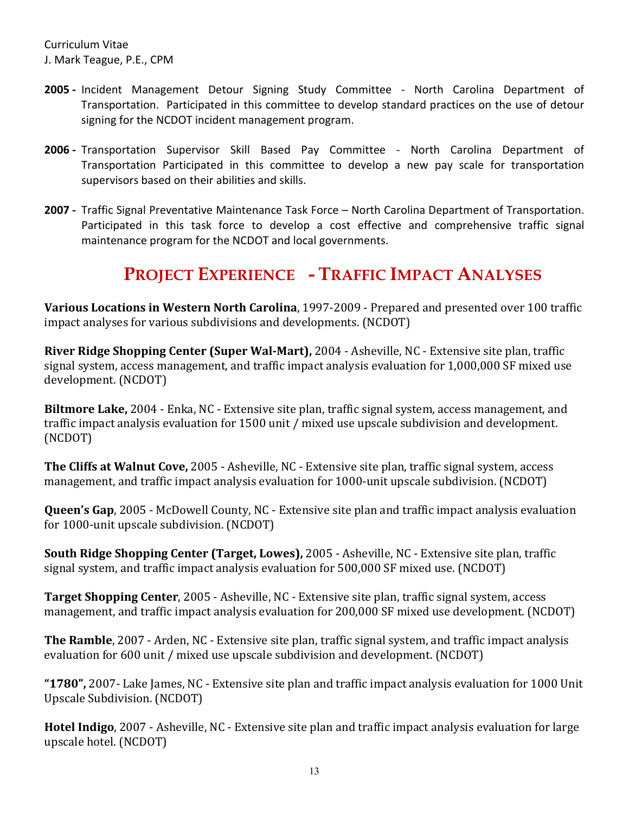- **2005 -** Incident Management Detour Signing Study Committee North Carolina Department of Transportation. Participated in this committee to develop standard practices on the use of detour signing for the NCDOT incident management program.
- **2006 -** Transportation Supervisor Skill Based Pay Committee North Carolina Department of Transportation Participated in this committee to develop a new pay scale for transportation supervisors based on their abilities and skills.
- **2007 -** Traffic Signal Preventative Maintenance Task Force North Carolina Department of Transportation. Participated in this task force to develop a cost effective and comprehensive traffic signal maintenance program for the NCDOT and local governments.

## <span id="page-12-0"></span>**PROJECT EXPERIENCE - TRAFFIC IMPACT ANALYSES**

**Various Locations in Western North Carolina**, 1997-2009 - Prepared and presented over 100 traffic impact analyses for various subdivisions and developments. (NCDOT)

**River Ridge Shopping Center (Super Wal-Mart),** 2004 - Asheville, NC - Extensive site plan, traffic signal system, access management, and traffic impact analysis evaluation for 1,000,000 SF mixed use development. (NCDOT)

**Biltmore Lake,** 2004 - Enka, NC - Extensive site plan, traffic signal system, access management, and traffic impact analysis evaluation for 1500 unit / mixed use upscale subdivision and development. (NCDOT)

**The Cliffs at Walnut Cove,** 2005 - Asheville, NC - Extensive site plan, traffic signal system, access management, and traffic impact analysis evaluation for 1000-unit upscale subdivision. (NCDOT)

**Queen's Gap**, 2005 - McDowell County, NC - Extensive site plan and traffic impact analysis evaluation for 1000-unit upscale subdivision. (NCDOT)

**South Ridge Shopping Center (Target, Lowes),** 2005 - Asheville, NC - Extensive site plan, traffic signal system, and traffic impact analysis evaluation for 500,000 SF mixed use. (NCDOT)

**Target Shopping Center**, 2005 - Asheville, NC - Extensive site plan, traffic signal system, access management, and traffic impact analysis evaluation for 200,000 SF mixed use development. (NCDOT)

**The Ramble**, 2007 - Arden, NC - Extensive site plan, traffic signal system, and traffic impact analysis evaluation for 600 unit / mixed use upscale subdivision and development. (NCDOT)

**"1780",** 2007- Lake James, NC - Extensive site plan and traffic impact analysis evaluation for 1000 Unit Upscale Subdivision. (NCDOT)

**Hotel Indigo**, 2007 - Asheville, NC - Extensive site plan and traffic impact analysis evaluation for large upscale hotel. (NCDOT)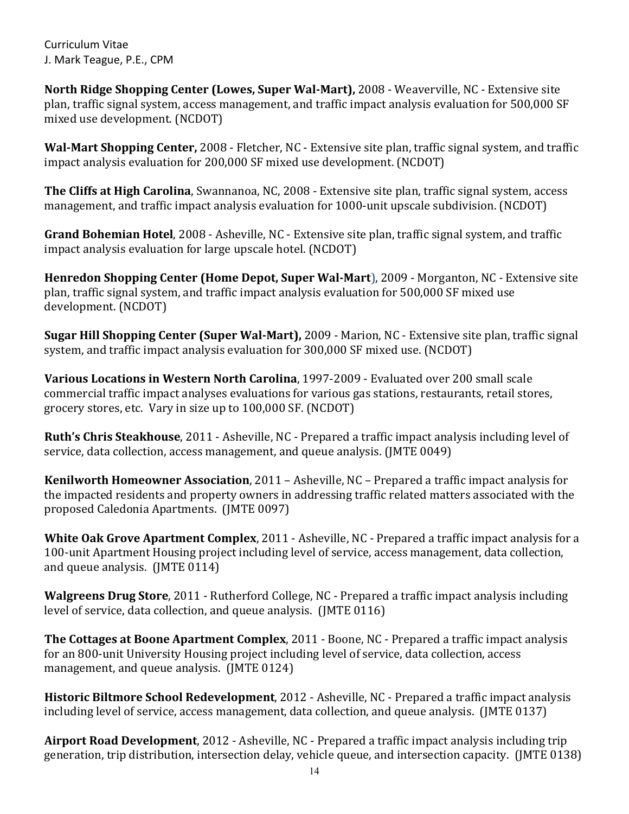**North Ridge Shopping Center (Lowes, Super Wal-Mart),** 2008 - Weaverville, NC *-* Extensive site plan, traffic signal system, access management, and traffic impact analysis evaluation for 500,000 SF mixed use development. (NCDOT)

**Wal-Mart Shopping Center,** 2008 - Fletcher, NC - Extensive site plan, traffic signal system, and traffic impact analysis evaluation for 200,000 SF mixed use development. (NCDOT)

**The Cliffs at High Carolina**, Swannanoa, NC, 2008 - Extensive site plan, traffic signal system, access management, and traffic impact analysis evaluation for 1000-unit upscale subdivision. (NCDOT)

**Grand Bohemian Hotel**, 2008 - Asheville, NC - Extensive site plan, traffic signal system, and traffic impact analysis evaluation for large upscale hotel. (NCDOT)

**Henredon Shopping Center (Home Depot, Super Wal-Mart**), 2009 - Morganton, NC *-* Extensive site plan, traffic signal system, and traffic impact analysis evaluation for 500,000 SF mixed use development. (NCDOT)

**Sugar Hill Shopping Center (Super Wal-Mart),** 2009 - Marion, NC - Extensive site plan, traffic signal system, and traffic impact analysis evaluation for 300,000 SF mixed use. (NCDOT)

**Various Locations in Western North Carolina**, 1997-2009 - Evaluated over 200 small scale commercial traffic impact analyses evaluations for various gas stations, restaurants, retail stores, grocery stores, etc. Vary in size up to 100,000 SF. (NCDOT)

**Ruth's Chris Steakhouse**, 2011 - Asheville, NC - Prepared a traffic impact analysis including level of service, data collection, access management, and queue analysis. (JMTE 0049)

**Kenilworth Homeowner Association**, 2011 – Asheville, NC – Prepared a traffic impact analysis for the impacted residents and property owners in addressing traffic related matters associated with the proposed Caledonia Apartments. (JMTE 0097)

**White Oak Grove Apartment Complex**, 2011 - Asheville, NC - Prepared a traffic impact analysis for a 100-unit Apartment Housing project including level of service, access management, data collection, and queue analysis. (JMTE 0114)

**Walgreens Drug Store**, 2011 - Rutherford College, NC - Prepared a traffic impact analysis including level of service, data collection, and queue analysis. (JMTE 0116)

**The Cottages at Boone Apartment Complex**, 2011 - Boone, NC - Prepared a traffic impact analysis for an 800-unit University Housing project including level of service, data collection, access management, and queue analysis. (JMTE 0124)

**Historic Biltmore School Redevelopment**, 2012 - Asheville, NC - Prepared a traffic impact analysis including level of service, access management, data collection, and queue analysis. (JMTE 0137)

**Airport Road Development**, 2012 - Asheville, NC - Prepared a traffic impact analysis including trip generation, trip distribution, intersection delay, vehicle queue, and intersection capacity. (JMTE 0138)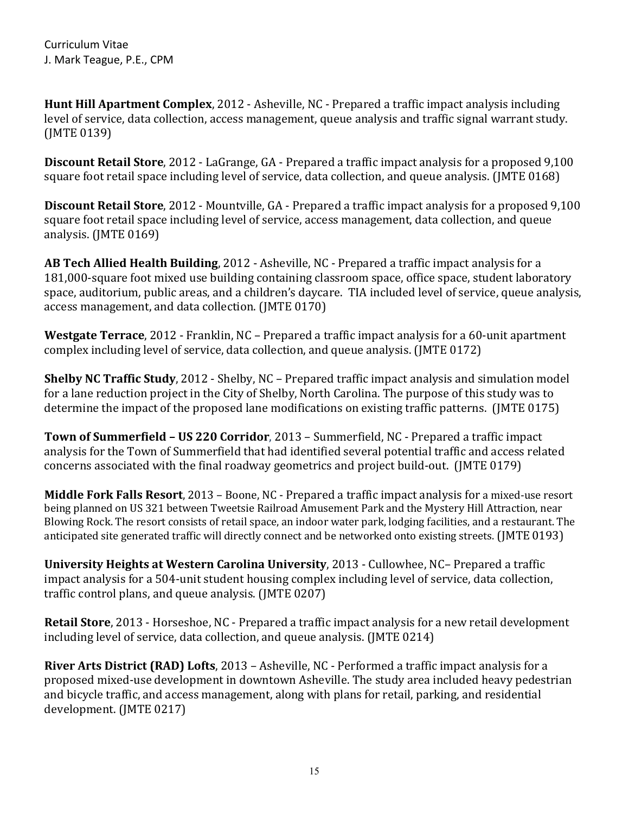**Hunt Hill Apartment Complex**, 2012 - Asheville, NC - Prepared a traffic impact analysis including level of service, data collection, access management, queue analysis and traffic signal warrant study. (JMTE 0139)

**Discount Retail Store**, 2012 - LaGrange, GA - Prepared a traffic impact analysis for a proposed 9,100 square foot retail space including level of service, data collection, and queue analysis. (JMTE 0168)

**Discount Retail Store**, 2012 - Mountville, GA - Prepared a traffic impact analysis for a proposed 9,100 square foot retail space including level of service, access management, data collection, and queue analysis. (JMTE 0169)

**AB Tech Allied Health Building**, 2012 - Asheville, NC - Prepared a traffic impact analysis for a 181,000-square foot mixed use building containing classroom space, office space, student laboratory space, auditorium, public areas, and a children's daycare. TIA included level of service, queue analysis, access management, and data collection. (JMTE 0170)

**Westgate Terrace**, 2012 - Franklin, NC – Prepared a traffic impact analysis for a 60-unit apartment complex including level of service, data collection, and queue analysis. (JMTE 0172)

**Shelby NC Traffic Study**, 2012 - Shelby, NC – Prepared traffic impact analysis and simulation model for a lane reduction project in the City of Shelby, North Carolina. The purpose of this study was to determine the impact of the proposed lane modifications on existing traffic patterns. (JMTE 0175)

**Town of Summerfield – US 220 Corridor**, 2013 – Summerfield, NC - Prepared a traffic impact analysis for the Town of Summerfield that had identified several potential traffic and access related concerns associated with the final roadway geometrics and project build-out. (JMTE 0179)

**Middle Fork Falls Resort**, 2013 – Boone, NC - Prepared a traffic impact analysis for a mixed-use resort being planned on US 321 between Tweetsie Railroad Amusement Park and the Mystery Hill Attraction, near Blowing Rock. The resort consists of retail space, an indoor water park, lodging facilities, and a restaurant. The anticipated site generated traffic will directly connect and be networked onto existing streets. (JMTE 0193)

**University Heights at Western Carolina University**, 2013 - Cullowhee, NC– Prepared a traffic impact analysis for a 504-unit student housing complex including level of service, data collection, traffic control plans, and queue analysis. (JMTE 0207)

**Retail Store**, 2013 - Horseshoe, NC - Prepared a traffic impact analysis for a new retail development including level of service, data collection, and queue analysis. (JMTE 0214)

**River Arts District (RAD) Lofts**, 2013 – Asheville, NC - Performed a traffic impact analysis for a proposed mixed-use development in downtown Asheville. The study area included heavy pedestrian and bicycle traffic, and access management, along with plans for retail, parking, and residential development. (JMTE 0217)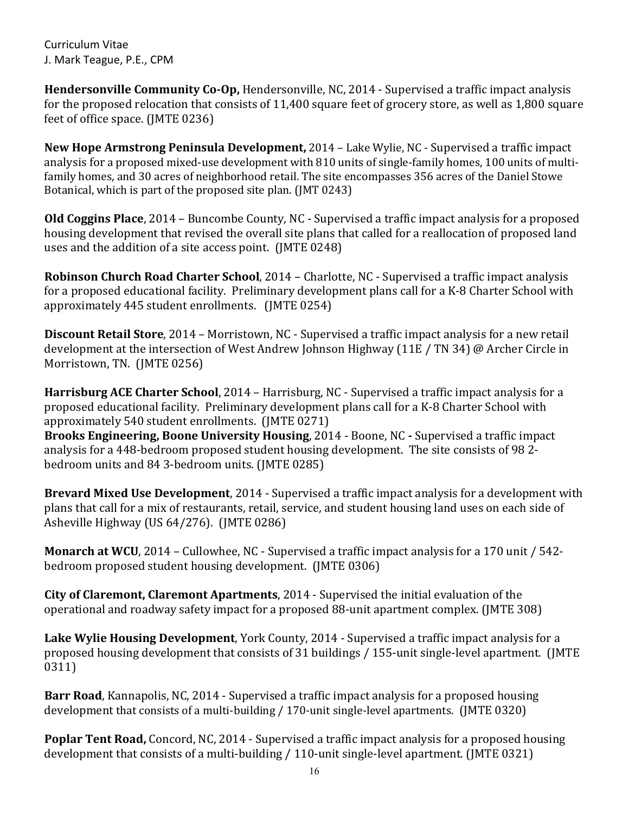**Hendersonville Community Co-Op,** Hendersonville, NC, 2014 - Supervised a traffic impact analysis for the proposed relocation that consists of 11,400 square feet of grocery store, as well as 1,800 square feet of office space. (JMTE 0236)

**New Hope Armstrong Peninsula Development,** 2014 – Lake Wylie, NC - Supervised a traffic impact analysis for a proposed mixed-use development with 810 units of single-family homes, 100 units of multifamily homes, and 30 acres of neighborhood retail. The site encompasses 356 acres of the Daniel Stowe Botanical, which is part of the proposed site plan. (JMT 0243)

**Old Coggins Place**, 2014 – Buncombe County, NC - Supervised a traffic impact analysis for a proposed housing development that revised the overall site plans that called for a reallocation of proposed land uses and the addition of a site access point. (JMTE 0248)

**Robinson Church Road Charter School**, 2014 – Charlotte, NC - Supervised a traffic impact analysis for a proposed educational facility. Preliminary development plans call for a K-8 Charter School with approximately 445 student enrollments. (JMTE 0254)

**Discount Retail Store**, 2014 – Morristown, NC - Supervised a traffic impact analysis for a new retail development at the intersection of West Andrew Johnson Highway (11E / TN 34) @ Archer Circle in Morristown, TN. (JMTE 0256)

**Harrisburg ACE Charter School**, 2014 – Harrisburg, NC - Supervised a traffic impact analysis for a proposed educational facility. Preliminary development plans call for a K-8 Charter School with approximately 540 student enrollments. (JMTE 0271)

**Brooks Engineering, Boone University Housing**, 2014 - Boone, NC **-** Supervised a traffic impact analysis for a 448-bedroom proposed student housing development. The site consists of 98 2 bedroom units and 84 3-bedroom units. (JMTE 0285)

**Brevard Mixed Use Development**, 2014 - Supervised a traffic impact analysis for a development with plans that call for a mix of restaurants, retail, service, and student housing land uses on each side of Asheville Highway (US 64/276). (JMTE 0286)

**Monarch at WCU**, 2014 – Cullowhee, NC - Supervised a traffic impact analysis for a 170 unit / 542 bedroom proposed student housing development. (JMTE 0306)

**City of Claremont, Claremont Apartments**, 2014 - Supervised the initial evaluation of the operational and roadway safety impact for a proposed 88-unit apartment complex. (JMTE 308)

**Lake Wylie Housing Development**, York County, 2014 - Supervised a traffic impact analysis for a proposed housing development that consists of 31 buildings / 155-unit single-level apartment. (JMTE 0311)

**Barr Road**, Kannapolis, NC, 2014 - Supervised a traffic impact analysis for a proposed housing development that consists of a multi-building / 170-unit single-level apartments. (JMTE 0320)

**Poplar Tent Road,** Concord, NC, 2014 - Supervised a traffic impact analysis for a proposed housing development that consists of a multi-building / 110-unit single-level apartment. (JMTE 0321)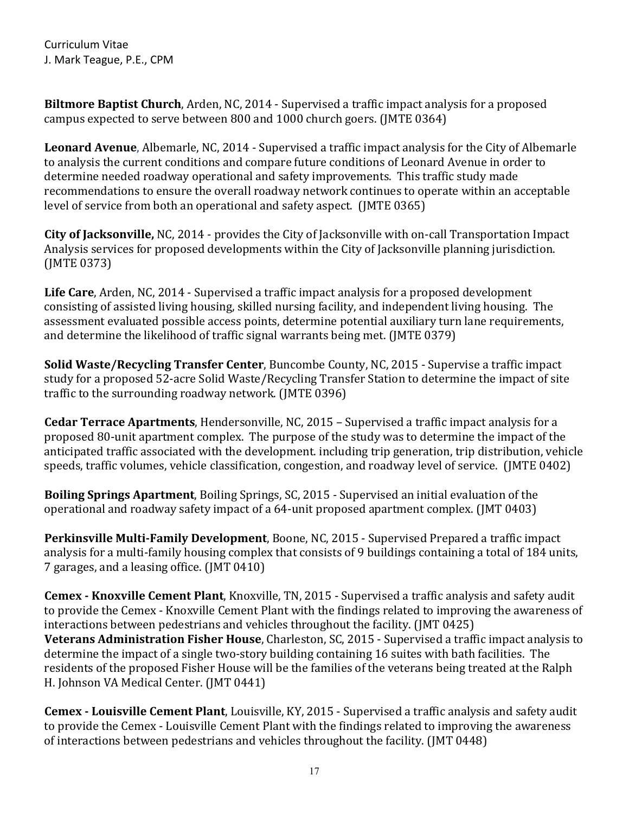**Biltmore Baptist Church**, Arden, NC, 2014 - Supervised a traffic impact analysis for a proposed campus expected to serve between 800 and 1000 church goers. (JMTE 0364)

**Leonard Avenue**, Albemarle, NC, 2014 - Supervised a traffic impact analysis for the City of Albemarle to analysis the current conditions and compare future conditions of Leonard Avenue in order to determine needed roadway operational and safety improvements. This traffic study made recommendations to ensure the overall roadway network continues to operate within an acceptable level of service from both an operational and safety aspect. (JMTE 0365)

**City of Jacksonville,** NC, 2014 - provides the City of Jacksonville with on-call Transportation Impact Analysis services for proposed developments within the City of Jacksonville planning jurisdiction. (JMTE 0373)

**Life Care**, Arden, NC, 2014 - Supervised a traffic impact analysis for a proposed development consisting of assisted living housing, skilled nursing facility, and independent living housing. The assessment evaluated possible access points, determine potential auxiliary turn lane requirements, and determine the likelihood of traffic signal warrants being met. (JMTE 0379)

**Solid Waste/Recycling Transfer Center**, Buncombe County, NC, 2015 - Supervise a traffic impact study for a proposed 52-acre Solid Waste/Recycling Transfer Station to determine the impact of site traffic to the surrounding roadway network. (JMTE 0396)

**Cedar Terrace Apartments**, Hendersonville, NC, 2015 – Supervised a traffic impact analysis for a proposed 80-unit apartment complex. The purpose of the study was to determine the impact of the anticipated traffic associated with the development. including trip generation, trip distribution, vehicle speeds, traffic volumes, vehicle classification, congestion, and roadway level of service. (JMTE 0402)

**Boiling Springs Apartment**, Boiling Springs, SC, 2015 - Supervised an initial evaluation of the operational and roadway safety impact of a 64-unit proposed apartment complex. (JMT 0403)

**Perkinsville Multi-Family Development**, Boone, NC, 2015 - Supervised Prepared a traffic impact analysis for a multi-family housing complex that consists of 9 buildings containing a total of 184 units, 7 garages, and a leasing office. (JMT 0410)

**Cemex - Knoxville Cement Plant**, Knoxville, TN, 2015 - Supervised a traffic analysis and safety audit to provide the Cemex - Knoxville Cement Plant with the findings related to improving the awareness of interactions between pedestrians and vehicles throughout the facility. (JMT 0425) **Veterans Administration Fisher House**, Charleston, SC, 2015 - Supervised a traffic impact analysis to determine the impact of a single two-story building containing 16 suites with bath facilities. The residents of the proposed Fisher House will be the families of the veterans being treated at the Ralph H. Johnson VA Medical Center. (JMT 0441)

**Cemex - Louisville Cement Plant**, Louisville, KY, 2015 - Supervised a traffic analysis and safety audit to provide the Cemex - Louisville Cement Plant with the findings related to improving the awareness of interactions between pedestrians and vehicles throughout the facility. (JMT 0448)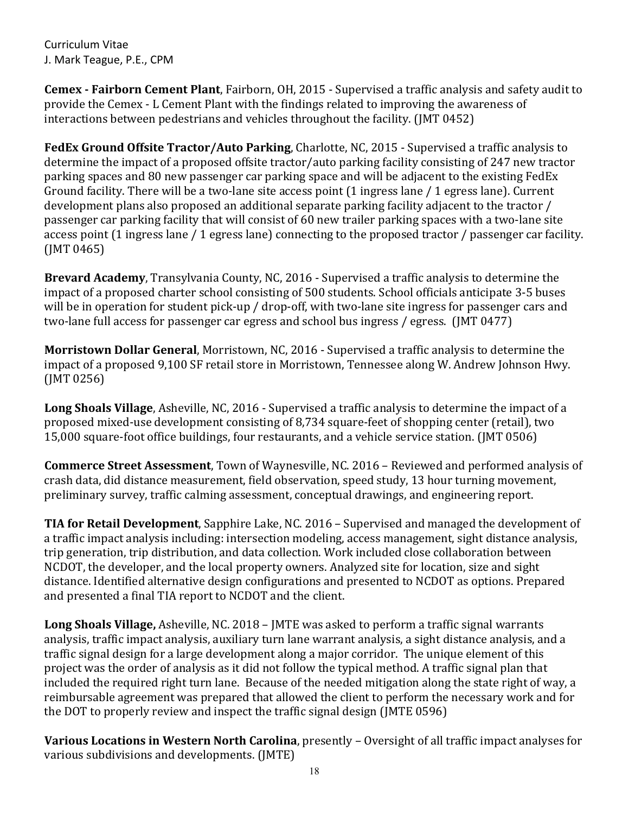**Cemex - Fairborn Cement Plant**, Fairborn, OH, 2015 - Supervised a traffic analysis and safety audit to provide the Cemex - L Cement Plant with the findings related to improving the awareness of interactions between pedestrians and vehicles throughout the facility. (JMT 0452)

**FedEx Ground Offsite Tractor/Auto Parking**, Charlotte, NC, 2015 - Supervised a traffic analysis to determine the impact of a proposed offsite tractor/auto parking facility consisting of 247 new tractor parking spaces and 80 new passenger car parking space and will be adjacent to the existing FedEx Ground facility. There will be a two-lane site access point (1 ingress lane / 1 egress lane). Current development plans also proposed an additional separate parking facility adjacent to the tractor / passenger car parking facility that will consist of 60 new trailer parking spaces with a two-lane site access point (1 ingress lane / 1 egress lane) connecting to the proposed tractor / passenger car facility. (JMT 0465)

**Brevard Academy**, Transylvania County, NC, 2016 - Supervised a traffic analysis to determine the impact of a proposed charter school consisting of 500 students. School officials anticipate 3-5 buses will be in operation for student pick-up / drop-off, with two-lane site ingress for passenger cars and two-lane full access for passenger car egress and school bus ingress / egress. (JMT 0477)

**Morristown Dollar General**, Morristown, NC, 2016 - Supervised a traffic analysis to determine the impact of a proposed 9,100 SF retail store in Morristown, Tennessee along W. Andrew Johnson Hwy. (JMT 0256)

**Long Shoals Village**, Asheville, NC, 2016 - Supervised a traffic analysis to determine the impact of a proposed mixed-use development consisting of 8,734 square-feet of shopping center (retail), two 15,000 square-foot office buildings, four restaurants, and a vehicle service station. (JMT 0506)

**Commerce Street Assessment**, Town of Waynesville, NC. 2016 – Reviewed and performed analysis of crash data, did distance measurement, field observation, speed study, 13 hour turning movement, preliminary survey, traffic calming assessment, conceptual drawings, and engineering report.

**TIA for Retail Development**, Sapphire Lake, NC. 2016 – Supervised and managed the development of a traffic impact analysis including: intersection modeling, access management, sight distance analysis, trip generation, trip distribution, and data collection. Work included close collaboration between NCDOT, the developer, and the local property owners. Analyzed site for location, size and sight distance. Identified alternative design configurations and presented to NCDOT as options. Prepared and presented a final TIA report to NCDOT and the client.

**Long Shoals Village,** Asheville, NC. 2018 – JMTE was asked to perform a traffic signal warrants analysis, traffic impact analysis, auxiliary turn lane warrant analysis, a sight distance analysis, and a traffic signal design for a large development along a major corridor. The unique element of this project was the order of analysis as it did not follow the typical method. A traffic signal plan that included the required right turn lane. Because of the needed mitigation along the state right of way, a reimbursable agreement was prepared that allowed the client to perform the necessary work and for the DOT to properly review and inspect the traffic signal design (JMTE 0596)

**Various Locations in Western North Carolina**, presently – Oversight of all traffic impact analyses for various subdivisions and developments. (JMTE)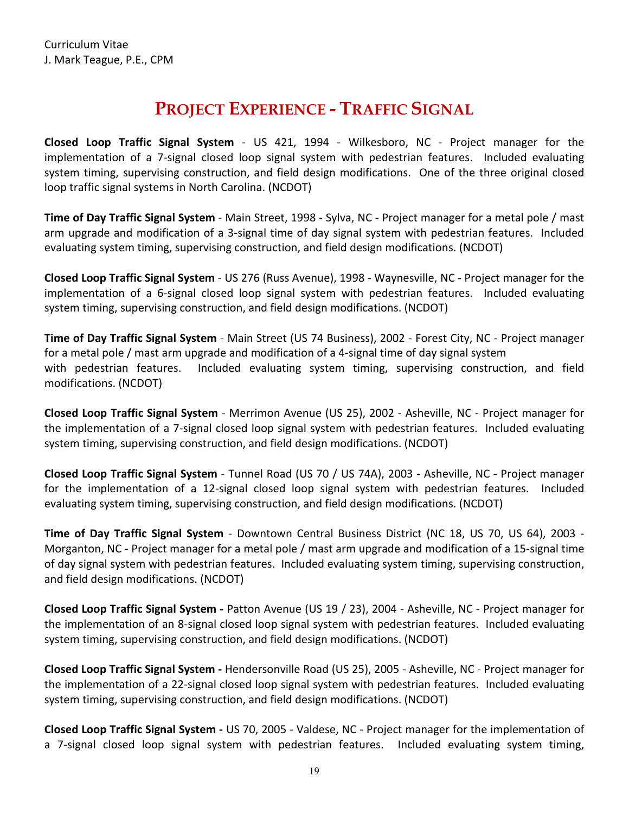### **PROJECT EXPERIENCE - TRAFFIC SIGNAL**

<span id="page-18-0"></span>**Closed Loop Traffic Signal System** - US 421, 1994 - Wilkesboro, NC - Project manager for the implementation of a 7-signal closed loop signal system with pedestrian features. Included evaluating system timing, supervising construction, and field design modifications. One of the three original closed loop traffic signal systems in North Carolina. (NCDOT)

**Time of Day Traffic Signal System** - Main Street, 1998 - Sylva, NC - Project manager for a metal pole / mast arm upgrade and modification of a 3-signal time of day signal system with pedestrian features. Included evaluating system timing, supervising construction, and field design modifications. (NCDOT)

**Closed Loop Traffic Signal System** - US 276 (Russ Avenue), 1998 - Waynesville, NC - Project manager for the implementation of a 6-signal closed loop signal system with pedestrian features. Included evaluating system timing, supervising construction, and field design modifications. (NCDOT)

**Time of Day Traffic Signal System** - Main Street (US 74 Business), 2002 - Forest City, NC - Project manager for a metal pole / mast arm upgrade and modification of a 4-signal time of day signal system with pedestrian features. Included evaluating system timing, supervising construction, and field modifications. (NCDOT)

**Closed Loop Traffic Signal System** - Merrimon Avenue (US 25), 2002 - Asheville, NC - Project manager for the implementation of a 7-signal closed loop signal system with pedestrian features. Included evaluating system timing, supervising construction, and field design modifications. (NCDOT)

**Closed Loop Traffic Signal System** - Tunnel Road (US 70 / US 74A), 2003 - Asheville, NC - Project manager for the implementation of a 12-signal closed loop signal system with pedestrian features. Included evaluating system timing, supervising construction, and field design modifications. (NCDOT)

**Time of Day Traffic Signal System** - Downtown Central Business District (NC 18, US 70, US 64), 2003 - Morganton, NC - Project manager for a metal pole / mast arm upgrade and modification of a 15-signal time of day signal system with pedestrian features. Included evaluating system timing, supervising construction, and field design modifications. (NCDOT)

**Closed Loop Traffic Signal System -** Patton Avenue (US 19 / 23), 2004 - Asheville, NC - Project manager for the implementation of an 8-signal closed loop signal system with pedestrian features. Included evaluating system timing, supervising construction, and field design modifications. (NCDOT)

**Closed Loop Traffic Signal System -** Hendersonville Road (US 25), 2005 - Asheville, NC - Project manager for the implementation of a 22-signal closed loop signal system with pedestrian features. Included evaluating system timing, supervising construction, and field design modifications. (NCDOT)

**Closed Loop Traffic Signal System -** US 70, 2005 - Valdese, NC - Project manager for the implementation of a 7-signal closed loop signal system with pedestrian features. Included evaluating system timing,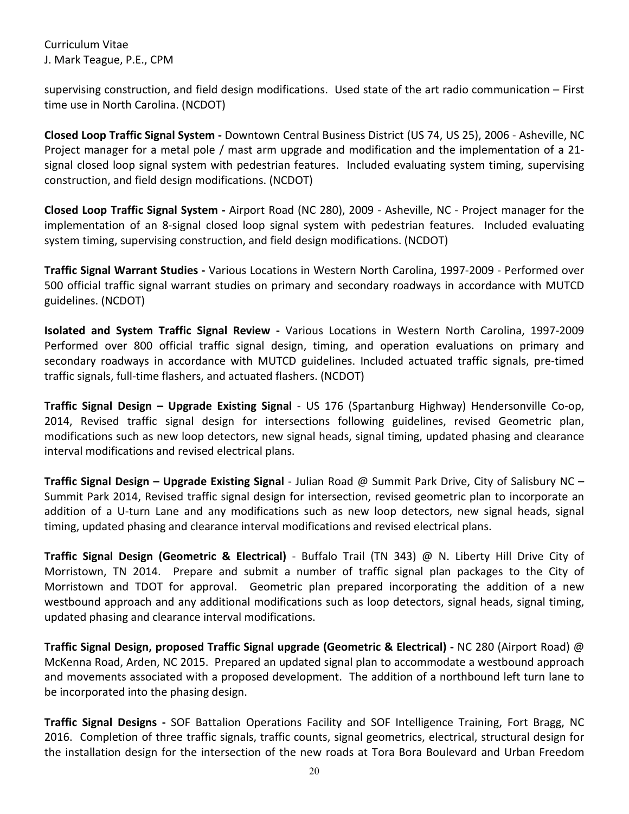supervising construction, and field design modifications. Used state of the art radio communication – First time use in North Carolina. (NCDOT)

**Closed Loop Traffic Signal System -** Downtown Central Business District (US 74, US 25), 2006 - Asheville, NC Project manager for a metal pole / mast arm upgrade and modification and the implementation of a 21 signal closed loop signal system with pedestrian features. Included evaluating system timing, supervising construction, and field design modifications. (NCDOT)

**Closed Loop Traffic Signal System -** Airport Road (NC 280), 2009 - Asheville, NC - Project manager for the implementation of an 8-signal closed loop signal system with pedestrian features. Included evaluating system timing, supervising construction, and field design modifications. (NCDOT)

**Traffic Signal Warrant Studies -** Various Locations in Western North Carolina, 1997-2009 - Performed over 500 official traffic signal warrant studies on primary and secondary roadways in accordance with MUTCD guidelines. (NCDOT)

**Isolated and System Traffic Signal Review -** Various Locations in Western North Carolina, 1997-2009 Performed over 800 official traffic signal design, timing, and operation evaluations on primary and secondary roadways in accordance with MUTCD guidelines. Included actuated traffic signals, pre-timed traffic signals, full-time flashers, and actuated flashers. (NCDOT)

**Traffic Signal Design – Upgrade Existing Signal** - US 176 (Spartanburg Highway) Hendersonville Co-op, 2014, Revised traffic signal design for intersections following guidelines, revised Geometric plan, modifications such as new loop detectors, new signal heads, signal timing, updated phasing and clearance interval modifications and revised electrical plans.

**Traffic Signal Design – Upgrade Existing Signal** - Julian Road @ Summit Park Drive, City of Salisbury NC – Summit Park 2014, Revised traffic signal design for intersection, revised geometric plan to incorporate an addition of a U-turn Lane and any modifications such as new loop detectors, new signal heads, signal timing, updated phasing and clearance interval modifications and revised electrical plans.

**Traffic Signal Design (Geometric & Electrical)** - Buffalo Trail (TN 343) @ N. Liberty Hill Drive City of Morristown, TN 2014. Prepare and submit a number of traffic signal plan packages to the City of Morristown and TDOT for approval. Geometric plan prepared incorporating the addition of a new westbound approach and any additional modifications such as loop detectors, signal heads, signal timing, updated phasing and clearance interval modifications.

**Traffic Signal Design, proposed Traffic Signal upgrade (Geometric & Electrical) -** NC 280 (Airport Road) @ McKenna Road, Arden, NC 2015. Prepared an updated signal plan to accommodate a westbound approach and movements associated with a proposed development. The addition of a northbound left turn lane to be incorporated into the phasing design.

**Traffic Signal Designs -** SOF Battalion Operations Facility and SOF Intelligence Training, Fort Bragg, NC 2016. Completion of three traffic signals, traffic counts, signal geometrics, electrical, structural design for the installation design for the intersection of the new roads at Tora Bora Boulevard and Urban Freedom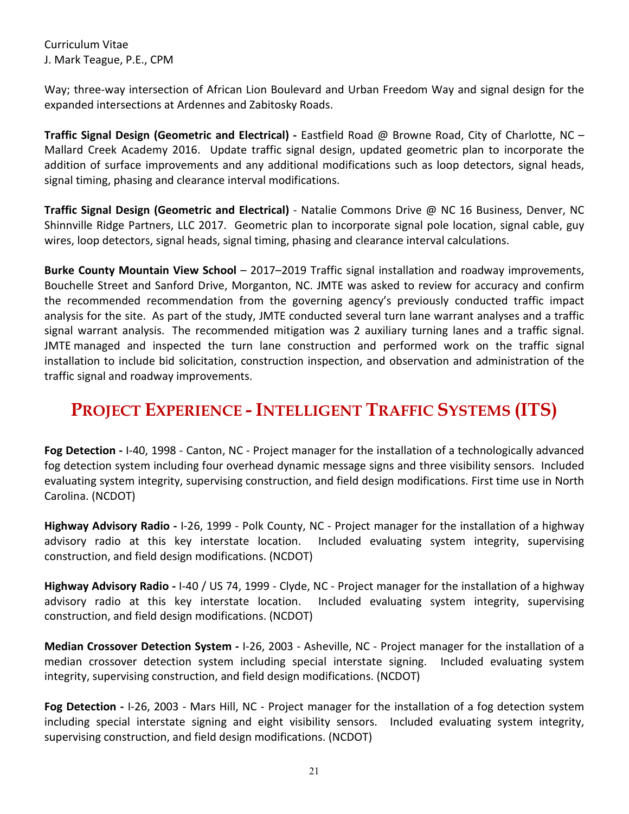Way; three-way intersection of African Lion Boulevard and Urban Freedom Way and signal design for the expanded intersections at Ardennes and Zabitosky Roads.

**Traffic Signal Design (Geometric and Electrical) -** Eastfield Road @ Browne Road, City of Charlotte, NC – Mallard Creek Academy 2016. Update traffic signal design, updated geometric plan to incorporate the addition of surface improvements and any additional modifications such as loop detectors, signal heads, signal timing, phasing and clearance interval modifications.

**Traffic Signal Design (Geometric and Electrical)** - Natalie Commons Drive @ NC 16 Business, Denver, NC Shinnville Ridge Partners, LLC 2017. Geometric plan to incorporate signal pole location, signal cable, guy wires, loop detectors, signal heads, signal timing, phasing and clearance interval calculations.

**Burke County Mountain View School** – 2017–2019 Traffic signal installation and roadway improvements, Bouchelle Street and Sanford Drive, Morganton, NC. JMTE was asked to review for accuracy and confirm the recommended recommendation from the governing agency's previously conducted traffic impact analysis for the site. As part of the study, JMTE conducted several turn lane warrant analyses and a traffic signal warrant analysis. The recommended mitigation was 2 auxiliary turning lanes and a traffic signal. JMTE managed and inspected the turn lane construction and performed work on the traffic signal installation to include bid solicitation, construction inspection, and observation and administration of the traffic signal and roadway improvements.

### <span id="page-20-0"></span>**PROJECT EXPERIENCE - INTELLIGENT TRAFFIC SYSTEMS (ITS)**

**Fog Detection -** I-40, 1998 - Canton, NC - Project manager for the installation of a technologically advanced fog detection system including four overhead dynamic message signs and three visibility sensors. Included evaluating system integrity, supervising construction, and field design modifications. First time use in North Carolina. (NCDOT)

**Highway Advisory Radio -** I-26, 1999 - Polk County, NC - Project manager for the installation of a highway advisory radio at this key interstate location. Included evaluating system integrity, supervising construction, and field design modifications. (NCDOT)

**Highway Advisory Radio -** I-40 / US 74, 1999 - Clyde, NC - Project manager for the installation of a highway advisory radio at this key interstate location. Included evaluating system integrity, supervising construction, and field design modifications. (NCDOT)

**Median Crossover Detection System -** I-26, 2003 - Asheville, NC - Project manager for the installation of a median crossover detection system including special interstate signing. Included evaluating system integrity, supervising construction, and field design modifications. (NCDOT)

**Fog Detection -** I-26, 2003 - Mars Hill, NC - Project manager for the installation of a fog detection system including special interstate signing and eight visibility sensors. Included evaluating system integrity, supervising construction, and field design modifications. (NCDOT)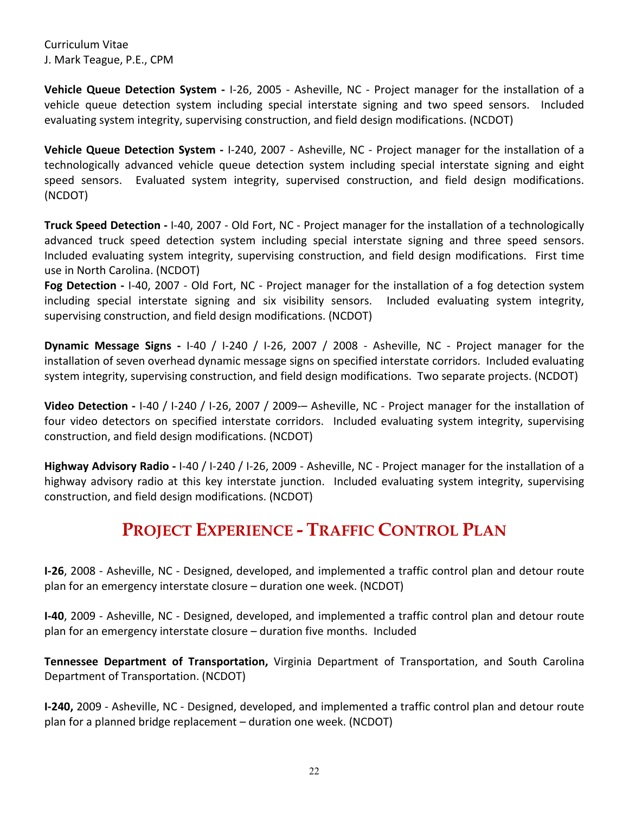**Vehicle Queue Detection System -** I-26, 2005 - Asheville, NC - Project manager for the installation of a vehicle queue detection system including special interstate signing and two speed sensors. Included evaluating system integrity, supervising construction, and field design modifications. (NCDOT)

**Vehicle Queue Detection System -** I-240, 2007 - Asheville, NC - Project manager for the installation of a technologically advanced vehicle queue detection system including special interstate signing and eight speed sensors. Evaluated system integrity, supervised construction, and field design modifications. (NCDOT)

**Truck Speed Detection -** I-40, 2007 - Old Fort, NC - Project manager for the installation of a technologically advanced truck speed detection system including special interstate signing and three speed sensors. Included evaluating system integrity, supervising construction, and field design modifications. First time use in North Carolina. (NCDOT)

**Fog Detection -** I-40, 2007 - Old Fort, NC - Project manager for the installation of a fog detection system including special interstate signing and six visibility sensors. Included evaluating system integrity, supervising construction, and field design modifications. (NCDOT)

**Dynamic Message Signs -** I-40 / I-240 / I-26, 2007 / 2008 - Asheville, NC - Project manager for the installation of seven overhead dynamic message signs on specified interstate corridors. Included evaluating system integrity, supervising construction, and field design modifications. Two separate projects. (NCDOT)

**Video Detection -** I-40 / I-240 / I-26, 2007 / 2009-– Asheville, NC - Project manager for the installation of four video detectors on specified interstate corridors. Included evaluating system integrity, supervising construction, and field design modifications. (NCDOT)

**Highway Advisory Radio -** I-40 / I-240 / I-26, 2009 - Asheville, NC - Project manager for the installation of a highway advisory radio at this key interstate junction. Included evaluating system integrity, supervising construction, and field design modifications. (NCDOT)

# **PROJECT EXPERIENCE - TRAFFIC CONTROL PLAN**

<span id="page-21-0"></span>**I-26**, 2008 - Asheville, NC - Designed, developed, and implemented a traffic control plan and detour route plan for an emergency interstate closure – duration one week. (NCDOT)

**I-40**, 2009 - Asheville, NC - Designed, developed, and implemented a traffic control plan and detour route plan for an emergency interstate closure – duration five months. Included

**Tennessee Department of Transportation,** Virginia Department of Transportation, and South Carolina Department of Transportation. (NCDOT)

**I-240,** 2009 - Asheville, NC - Designed, developed, and implemented a traffic control plan and detour route plan for a planned bridge replacement – duration one week. (NCDOT)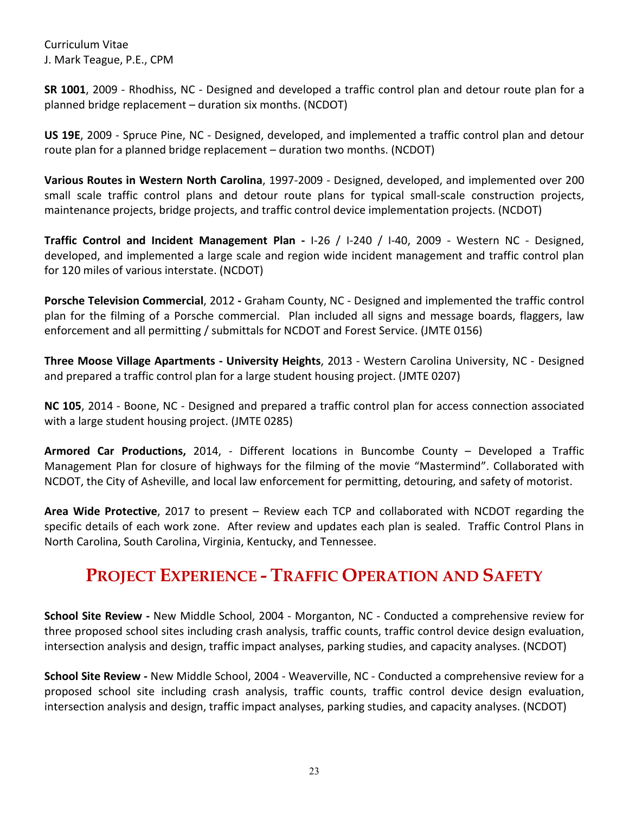**SR 1001**, 2009 - Rhodhiss, NC - Designed and developed a traffic control plan and detour route plan for a planned bridge replacement – duration six months. (NCDOT)

**US 19E**, 2009 - Spruce Pine, NC - Designed, developed, and implemented a traffic control plan and detour route plan for a planned bridge replacement – duration two months. (NCDOT)

**Various Routes in Western North Carolina**, 1997-2009 - Designed, developed, and implemented over 200 small scale traffic control plans and detour route plans for typical small-scale construction projects, maintenance projects, bridge projects, and traffic control device implementation projects. (NCDOT)

**Traffic Control and Incident Management Plan -** I-26 / I-240 / I-40, 2009 - Western NC - Designed, developed, and implemented a large scale and region wide incident management and traffic control plan for 120 miles of various interstate. (NCDOT)

**Porsche Television Commercial**, 2012 **-** Graham County, NC - Designed and implemented the traffic control plan for the filming of a Porsche commercial. Plan included all signs and message boards, flaggers, law enforcement and all permitting / submittals for NCDOT and Forest Service. (JMTE 0156)

**Three Moose Village Apartments - University Heights**, 2013 - Western Carolina University, NC - Designed and prepared a traffic control plan for a large student housing project. (JMTE 0207)

**NC 105**, 2014 - Boone, NC - Designed and prepared a traffic control plan for access connection associated with a large student housing project. (JMTE 0285)

**Armored Car Productions,** 2014, - Different locations in Buncombe County – Developed a Traffic Management Plan for closure of highways for the filming of the movie "Mastermind". Collaborated with NCDOT, the City of Asheville, and local law enforcement for permitting, detouring, and safety of motorist.

**Area Wide Protective**, 2017 to present – Review each TCP and collaborated with NCDOT regarding the specific details of each work zone. After review and updates each plan is sealed. Traffic Control Plans in North Carolina, South Carolina, Virginia, Kentucky, and Tennessee.

### <span id="page-22-0"></span>**PROJECT EXPERIENCE - TRAFFIC OPERATION AND SAFETY**

**School Site Review -** New Middle School, 2004 - Morganton, NC - Conducted a comprehensive review for three proposed school sites including crash analysis, traffic counts, traffic control device design evaluation, intersection analysis and design, traffic impact analyses, parking studies, and capacity analyses. (NCDOT)

**School Site Review -** New Middle School, 2004 - Weaverville, NC - Conducted a comprehensive review for a proposed school site including crash analysis, traffic counts, traffic control device design evaluation, intersection analysis and design, traffic impact analyses, parking studies, and capacity analyses. (NCDOT)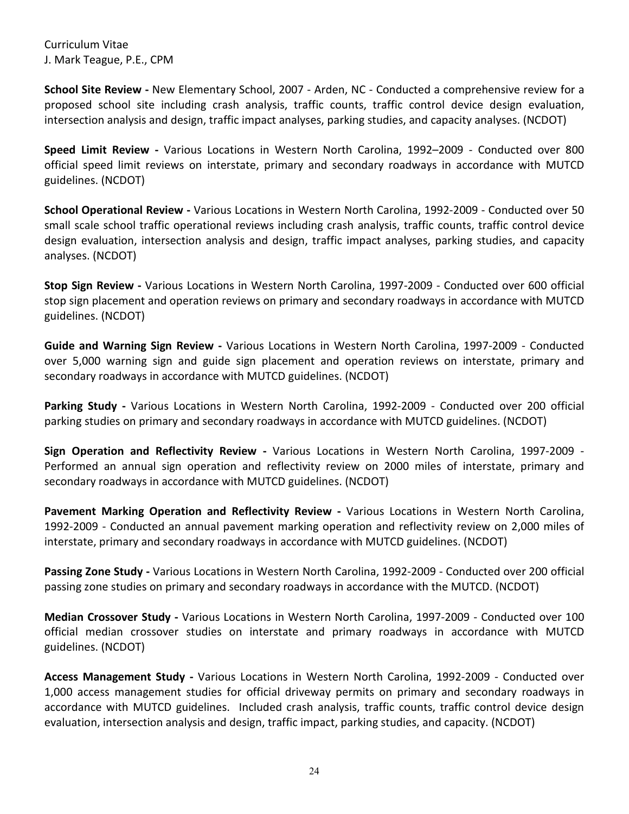**School Site Review -** New Elementary School, 2007 - Arden, NC - Conducted a comprehensive review for a proposed school site including crash analysis, traffic counts, traffic control device design evaluation, intersection analysis and design, traffic impact analyses, parking studies, and capacity analyses. (NCDOT)

**Speed Limit Review -** Various Locations in Western North Carolina, 1992–2009 - Conducted over 800 official speed limit reviews on interstate, primary and secondary roadways in accordance with MUTCD guidelines. (NCDOT)

**School Operational Review -** Various Locations in Western North Carolina, 1992-2009 - Conducted over 50 small scale school traffic operational reviews including crash analysis, traffic counts, traffic control device design evaluation, intersection analysis and design, traffic impact analyses, parking studies, and capacity analyses. (NCDOT)

**Stop Sign Review -** Various Locations in Western North Carolina, 1997-2009 - Conducted over 600 official stop sign placement and operation reviews on primary and secondary roadways in accordance with MUTCD guidelines. (NCDOT)

**Guide and Warning Sign Review -** Various Locations in Western North Carolina, 1997-2009 - Conducted over 5,000 warning sign and guide sign placement and operation reviews on interstate, primary and secondary roadways in accordance with MUTCD guidelines. (NCDOT)

**Parking Study -** Various Locations in Western North Carolina, 1992-2009 - Conducted over 200 official parking studies on primary and secondary roadways in accordance with MUTCD guidelines. (NCDOT)

**Sign Operation and Reflectivity Review -** Various Locations in Western North Carolina, 1997-2009 - Performed an annual sign operation and reflectivity review on 2000 miles of interstate, primary and secondary roadways in accordance with MUTCD guidelines. (NCDOT)

**Pavement Marking Operation and Reflectivity Review -** Various Locations in Western North Carolina, 1992-2009 - Conducted an annual pavement marking operation and reflectivity review on 2,000 miles of interstate, primary and secondary roadways in accordance with MUTCD guidelines. (NCDOT)

**Passing Zone Study -** Various Locations in Western North Carolina, 1992-2009 - Conducted over 200 official passing zone studies on primary and secondary roadways in accordance with the MUTCD. (NCDOT)

**Median Crossover Study -** Various Locations in Western North Carolina, 1997-2009 - Conducted over 100 official median crossover studies on interstate and primary roadways in accordance with MUTCD guidelines. (NCDOT)

**Access Management Study -** Various Locations in Western North Carolina, 1992-2009 - Conducted over 1,000 access management studies for official driveway permits on primary and secondary roadways in accordance with MUTCD guidelines. Included crash analysis, traffic counts, traffic control device design evaluation, intersection analysis and design, traffic impact, parking studies, and capacity. (NCDOT)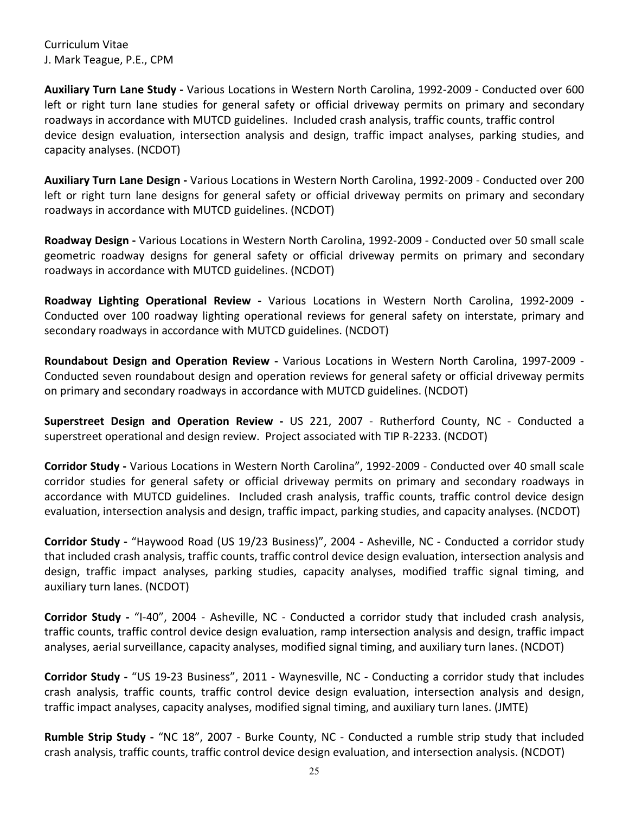**Auxiliary Turn Lane Study -** Various Locations in Western North Carolina, 1992-2009 - Conducted over 600 left or right turn lane studies for general safety or official driveway permits on primary and secondary roadways in accordance with MUTCD guidelines. Included crash analysis, traffic counts, traffic control device design evaluation, intersection analysis and design, traffic impact analyses, parking studies, and capacity analyses. (NCDOT)

**Auxiliary Turn Lane Design -** Various Locations in Western North Carolina, 1992-2009 - Conducted over 200 left or right turn lane designs for general safety or official driveway permits on primary and secondary roadways in accordance with MUTCD guidelines. (NCDOT)

**Roadway Design -** Various Locations in Western North Carolina, 1992-2009 - Conducted over 50 small scale geometric roadway designs for general safety or official driveway permits on primary and secondary roadways in accordance with MUTCD guidelines. (NCDOT)

**Roadway Lighting Operational Review -** Various Locations in Western North Carolina, 1992-2009 - Conducted over 100 roadway lighting operational reviews for general safety on interstate, primary and secondary roadways in accordance with MUTCD guidelines. (NCDOT)

**Roundabout Design and Operation Review -** Various Locations in Western North Carolina, 1997-2009 - Conducted seven roundabout design and operation reviews for general safety or official driveway permits on primary and secondary roadways in accordance with MUTCD guidelines. (NCDOT)

**Superstreet Design and Operation Review -** US 221, 2007 - Rutherford County, NC - Conducted a superstreet operational and design review. Project associated with TIP R-2233. (NCDOT)

**Corridor Study -** Various Locations in Western North Carolina", 1992-2009 - Conducted over 40 small scale corridor studies for general safety or official driveway permits on primary and secondary roadways in accordance with MUTCD guidelines. Included crash analysis, traffic counts, traffic control device design evaluation, intersection analysis and design, traffic impact, parking studies, and capacity analyses. (NCDOT)

**Corridor Study -** "Haywood Road (US 19/23 Business)", 2004 - Asheville, NC - Conducted a corridor study that included crash analysis, traffic counts, traffic control device design evaluation, intersection analysis and design, traffic impact analyses, parking studies, capacity analyses, modified traffic signal timing, and auxiliary turn lanes. (NCDOT)

**Corridor Study -** "I-40", 2004 - Asheville, NC - Conducted a corridor study that included crash analysis, traffic counts, traffic control device design evaluation, ramp intersection analysis and design, traffic impact analyses, aerial surveillance, capacity analyses, modified signal timing, and auxiliary turn lanes. (NCDOT)

**Corridor Study -** "US 19-23 Business", 2011 - Waynesville, NC - Conducting a corridor study that includes crash analysis, traffic counts, traffic control device design evaluation, intersection analysis and design, traffic impact analyses, capacity analyses, modified signal timing, and auxiliary turn lanes. (JMTE)

**Rumble Strip Study -** "NC 18", 2007 - Burke County, NC - Conducted a rumble strip study that included crash analysis, traffic counts, traffic control device design evaluation, and intersection analysis. (NCDOT)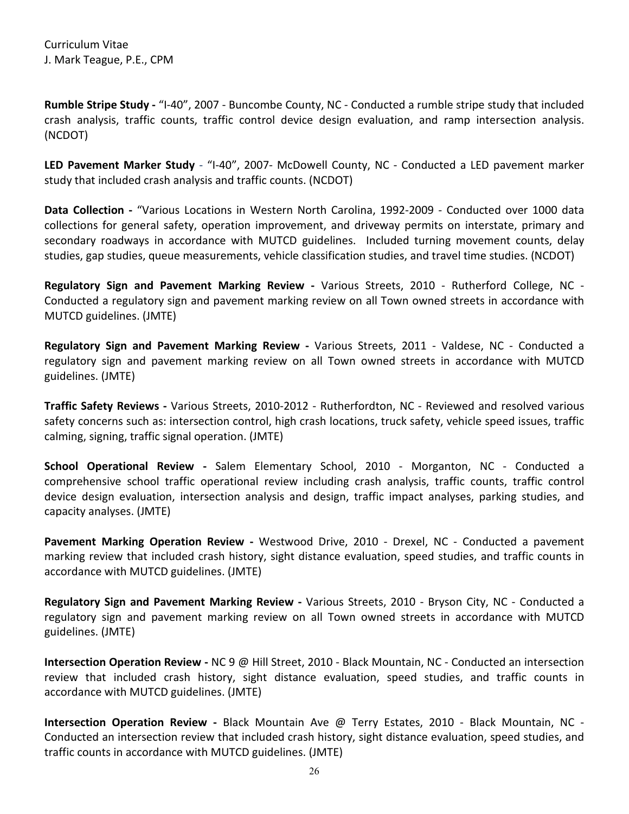**Rumble Stripe Study -** "I-40", 2007 - Buncombe County, NC - Conducted a rumble stripe study that included crash analysis, traffic counts, traffic control device design evaluation, and ramp intersection analysis. (NCDOT)

**LED Pavement Marker Study** - "I-40", 2007- McDowell County, NC - Conducted a LED pavement marker study that included crash analysis and traffic counts. (NCDOT)

**Data Collection -** "Various Locations in Western North Carolina, 1992-2009 - Conducted over 1000 data collections for general safety, operation improvement, and driveway permits on interstate, primary and secondary roadways in accordance with MUTCD guidelines. Included turning movement counts, delay studies, gap studies, queue measurements, vehicle classification studies, and travel time studies. (NCDOT)

**Regulatory Sign and Pavement Marking Review -** Various Streets, 2010 - Rutherford College, NC - Conducted a regulatory sign and pavement marking review on all Town owned streets in accordance with MUTCD guidelines. (JMTE)

**Regulatory Sign and Pavement Marking Review -** Various Streets, 2011 - Valdese, NC - Conducted a regulatory sign and pavement marking review on all Town owned streets in accordance with MUTCD guidelines. (JMTE)

**Traffic Safety Reviews -** Various Streets, 2010-2012 - Rutherfordton, NC - Reviewed and resolved various safety concerns such as: intersection control, high crash locations, truck safety, vehicle speed issues, traffic calming, signing, traffic signal operation. (JMTE)

**School Operational Review -** Salem Elementary School, 2010 - Morganton, NC - Conducted a comprehensive school traffic operational review including crash analysis, traffic counts, traffic control device design evaluation, intersection analysis and design, traffic impact analyses, parking studies, and capacity analyses. (JMTE)

**Pavement Marking Operation Review -** Westwood Drive, 2010 - Drexel, NC - Conducted a pavement marking review that included crash history, sight distance evaluation, speed studies, and traffic counts in accordance with MUTCD guidelines. (JMTE)

**Regulatory Sign and Pavement Marking Review -** Various Streets, 2010 - Bryson City, NC - Conducted a regulatory sign and pavement marking review on all Town owned streets in accordance with MUTCD guidelines. (JMTE)

**Intersection Operation Review -** NC 9 @ Hill Street, 2010 - Black Mountain, NC - Conducted an intersection review that included crash history, sight distance evaluation, speed studies, and traffic counts in accordance with MUTCD guidelines. (JMTE)

**Intersection Operation Review -** Black Mountain Ave @ Terry Estates, 2010 - Black Mountain, NC - Conducted an intersection review that included crash history, sight distance evaluation, speed studies, and traffic counts in accordance with MUTCD guidelines. (JMTE)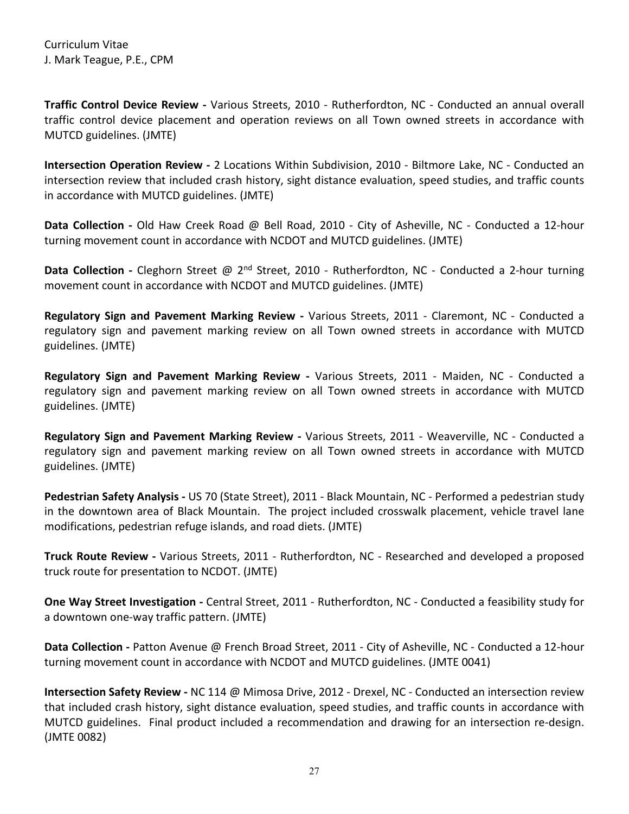**Traffic Control Device Review -** Various Streets, 2010 - Rutherfordton, NC - Conducted an annual overall traffic control device placement and operation reviews on all Town owned streets in accordance with MUTCD guidelines. (JMTE)

**Intersection Operation Review -** 2 Locations Within Subdivision, 2010 - Biltmore Lake, NC - Conducted an intersection review that included crash history, sight distance evaluation, speed studies, and traffic counts in accordance with MUTCD guidelines. (JMTE)

**Data Collection -** Old Haw Creek Road @ Bell Road, 2010 - City of Asheville, NC - Conducted a 12-hour turning movement count in accordance with NCDOT and MUTCD guidelines. (JMTE)

**Data Collection** - Cleghorn Street @ 2<sup>nd</sup> Street, 2010 - Rutherfordton, NC - Conducted a 2-hour turning movement count in accordance with NCDOT and MUTCD guidelines. (JMTE)

**Regulatory Sign and Pavement Marking Review -** Various Streets, 2011 - Claremont, NC - Conducted a regulatory sign and pavement marking review on all Town owned streets in accordance with MUTCD guidelines. (JMTE)

**Regulatory Sign and Pavement Marking Review -** Various Streets, 2011 - Maiden, NC - Conducted a regulatory sign and pavement marking review on all Town owned streets in accordance with MUTCD guidelines. (JMTE)

**Regulatory Sign and Pavement Marking Review -** Various Streets, 2011 - Weaverville, NC - Conducted a regulatory sign and pavement marking review on all Town owned streets in accordance with MUTCD guidelines. (JMTE)

**Pedestrian Safety Analysis -** US 70 (State Street), 2011 - Black Mountain, NC - Performed a pedestrian study in the downtown area of Black Mountain. The project included crosswalk placement, vehicle travel lane modifications, pedestrian refuge islands, and road diets. (JMTE)

**Truck Route Review -** Various Streets, 2011 - Rutherfordton, NC - Researched and developed a proposed truck route for presentation to NCDOT. (JMTE)

**One Way Street Investigation -** Central Street, 2011 - Rutherfordton, NC - Conducted a feasibility study for a downtown one-way traffic pattern. (JMTE)

**Data Collection -** Patton Avenue @ French Broad Street, 2011 - City of Asheville, NC - Conducted a 12-hour turning movement count in accordance with NCDOT and MUTCD guidelines. (JMTE 0041)

**Intersection Safety Review -** NC 114 @ Mimosa Drive, 2012 - Drexel, NC - Conducted an intersection review that included crash history, sight distance evaluation, speed studies, and traffic counts in accordance with MUTCD guidelines. Final product included a recommendation and drawing for an intersection re-design. (JMTE 0082)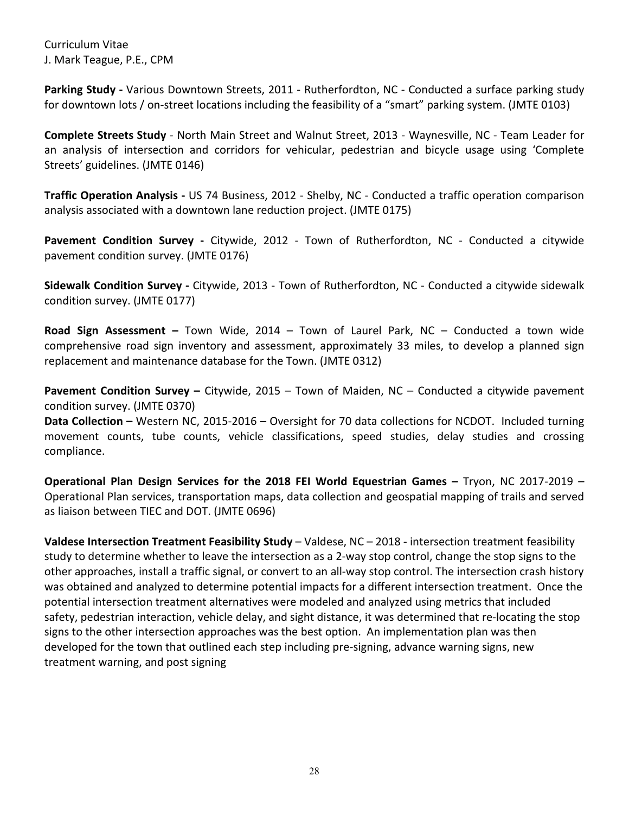**Parking Study -** Various Downtown Streets, 2011 - Rutherfordton, NC - Conducted a surface parking study for downtown lots / on-street locations including the feasibility of a "smart" parking system. (JMTE 0103)

**Complete Streets Study** - North Main Street and Walnut Street, 2013 - Waynesville, NC - Team Leader for an analysis of intersection and corridors for vehicular, pedestrian and bicycle usage using 'Complete Streets' guidelines. (JMTE 0146)

**Traffic Operation Analysis -** US 74 Business, 2012 - Shelby, NC - Conducted a traffic operation comparison analysis associated with a downtown lane reduction project. (JMTE 0175)

**Pavement Condition Survey -** Citywide, 2012 - Town of Rutherfordton, NC - Conducted a citywide pavement condition survey. (JMTE 0176)

**Sidewalk Condition Survey -** Citywide, 2013 - Town of Rutherfordton, NC - Conducted a citywide sidewalk condition survey. (JMTE 0177)

**Road Sign Assessment –** Town Wide, 2014 – Town of Laurel Park, NC – Conducted a town wide comprehensive road sign inventory and assessment, approximately 33 miles, to develop a planned sign replacement and maintenance database for the Town. (JMTE 0312)

**Pavement Condition Survey –** Citywide, 2015 – Town of Maiden, NC – Conducted a citywide pavement condition survey. (JMTE 0370)

**Data Collection –** Western NC, 2015-2016 – Oversight for 70 data collections for NCDOT. Included turning movement counts, tube counts, vehicle classifications, speed studies, delay studies and crossing compliance.

**Operational Plan Design Services for the 2018 FEI World Equestrian Games –** Tryon, NC 2017-2019 – Operational Plan services, transportation maps, data collection and geospatial mapping of trails and served as liaison between TIEC and DOT. (JMTE 0696)

**Valdese Intersection Treatment Feasibility Study** – Valdese, NC – 2018 - intersection treatment feasibility study to determine whether to leave the intersection as a 2-way stop control, change the stop signs to the other approaches, install a traffic signal, or convert to an all-way stop control. The intersection crash history was obtained and analyzed to determine potential impacts for a different intersection treatment. Once the potential intersection treatment alternatives were modeled and analyzed using metrics that included safety, pedestrian interaction, vehicle delay, and sight distance, it was determined that re-locating the stop signs to the other intersection approaches was the best option. An implementation plan was then developed for the town that outlined each step including pre-signing, advance warning signs, new treatment warning, and post signing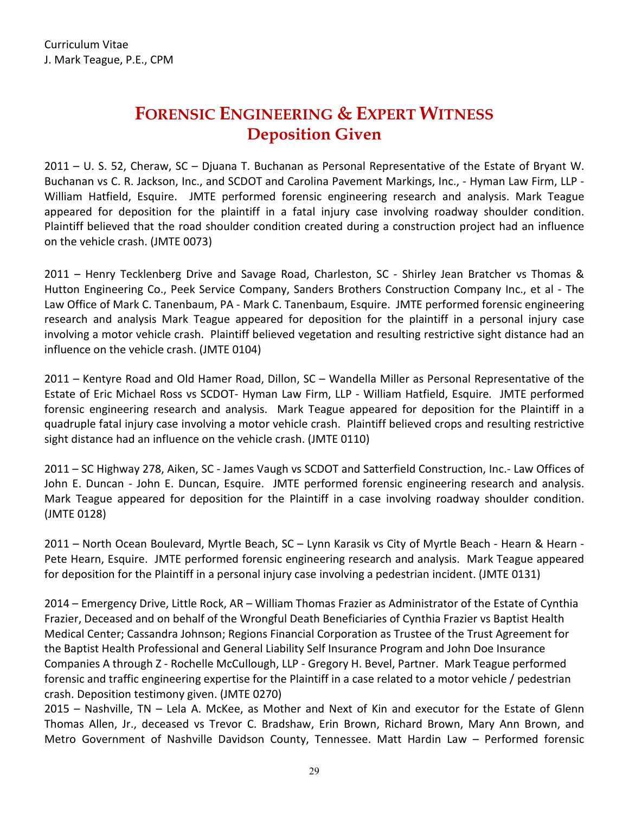### **FORENSIC ENGINEERING & EXPERT WITNESS Deposition Given**

<span id="page-28-1"></span><span id="page-28-0"></span>2011 – U. S. 52, Cheraw, SC – Djuana T. Buchanan as Personal Representative of the Estate of Bryant W. Buchanan vs C. R. Jackson, Inc., and SCDOT and Carolina Pavement Markings, Inc., - Hyman Law Firm, LLP - William Hatfield, Esquire.JMTE performed forensic engineering research and analysis. Mark Teague appeared for deposition for the plaintiff in a fatal injury case involving roadway shoulder condition. Plaintiff believed that the road shoulder condition created during a construction project had an influence on the vehicle crash. (JMTE 0073)

2011 – Henry Tecklenberg Drive and Savage Road, Charleston, SC - Shirley Jean Bratcher vs Thomas & Hutton Engineering Co., Peek Service Company, Sanders Brothers Construction Company Inc., et al - The Law Office of Mark C. Tanenbaum, PA - Mark C. Tanenbaum, Esquire.JMTE performed forensic engineering research and analysis Mark Teague appeared for deposition for the plaintiff in a personal injury case involving a motor vehicle crash. Plaintiff believed vegetation and resulting restrictive sight distance had an influence on the vehicle crash. (JMTE 0104)

2011 – Kentyre Road and Old Hamer Road, Dillon, SC – Wandella Miller as Personal Representative of the Estate of Eric Michael Ross vs SCDOT- Hyman Law Firm, LLP - William Hatfield, Esquire*.* JMTE performed forensic engineering research and analysis. Mark Teague appeared for deposition for the Plaintiff in a quadruple fatal injury case involving a motor vehicle crash. Plaintiff believed crops and resulting restrictive sight distance had an influence on the vehicle crash. (JMTE 0110)

2011 – SC Highway 278, Aiken, SC - James Vaugh vs SCDOT and Satterfield Construction, Inc.- Law Offices of John E. Duncan - John E. Duncan, Esquire.JMTE performed forensic engineering research and analysis. Mark Teague appeared for deposition for the Plaintiff in a case involving roadway shoulder condition. (JMTE 0128)

2011 – North Ocean Boulevard, Myrtle Beach, SC – Lynn Karasik vs City of Myrtle Beach - Hearn & Hearn - Pete Hearn, Esquire. JMTE performed forensic engineering research and analysis. Mark Teague appeared for deposition for the Plaintiff in a personal injury case involving a pedestrian incident. (JMTE 0131)

2014 – Emergency Drive, Little Rock, AR – William Thomas Frazier as Administrator of the Estate of Cynthia Frazier, Deceased and on behalf of the Wrongful Death Beneficiaries of Cynthia Frazier vs Baptist Health Medical Center; Cassandra Johnson; Regions Financial Corporation as Trustee of the Trust Agreement for the Baptist Health Professional and General Liability Self Insurance Program and John Doe Insurance Companies A through Z - Rochelle McCullough, LLP - Gregory H. Bevel, Partner.Mark Teague performed forensic and traffic engineering expertise for the Plaintiff in a case related to a motor vehicle / pedestrian crash. Deposition testimony given. (JMTE 0270)

2015 – Nashville, TN – Lela A. McKee, as Mother and Next of Kin and executor for the Estate of Glenn Thomas Allen, Jr., deceased vs Trevor C. Bradshaw, Erin Brown, Richard Brown, Mary Ann Brown, and Metro Government of Nashville Davidson County, Tennessee. Matt Hardin Law – Performed forensic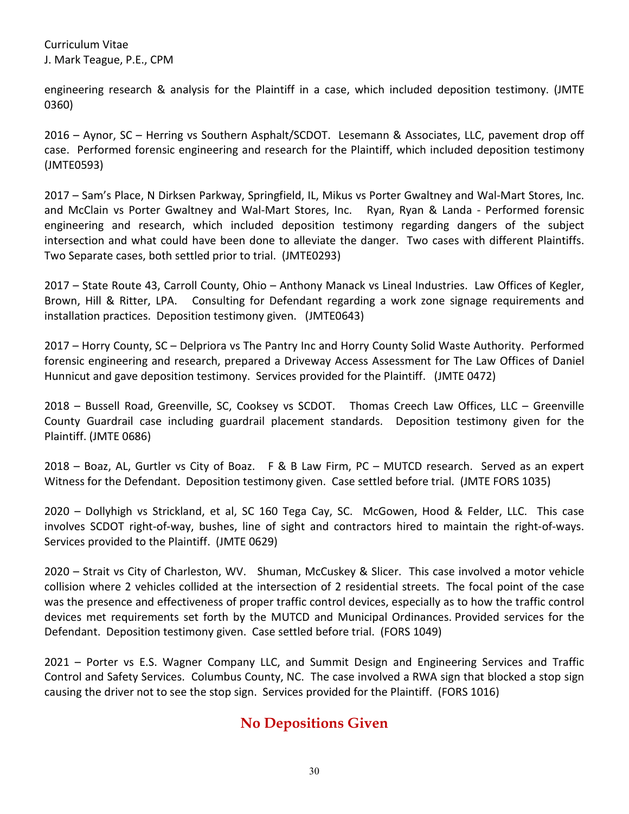engineering research & analysis for the Plaintiff in a case, which included deposition testimony. (JMTE 0360)

2016 – Aynor, SC – Herring vs Southern Asphalt/SCDOT. Lesemann & Associates, LLC, pavement drop off case. Performed forensic engineering and research for the Plaintiff, which included deposition testimony (JMTE0593)

2017 – Sam's Place, N Dirksen Parkway, Springfield, IL, Mikus vs Porter Gwaltney and Wal-Mart Stores, Inc. and McClain vs Porter Gwaltney and Wal-Mart Stores, Inc. Ryan, Ryan & Landa - Performed forensic engineering and research, which included deposition testimony regarding dangers of the subject intersection and what could have been done to alleviate the danger. Two cases with different Plaintiffs. Two Separate cases, both settled prior to trial. (JMTE0293)

2017 – State Route 43, Carroll County, Ohio – Anthony Manack vs Lineal Industries. Law Offices of Kegler, Brown, Hill & Ritter, LPA. Consulting for Defendant regarding a work zone signage requirements and installation practices. Deposition testimony given. (JMTE0643)

2017 – Horry County, SC – Delpriora vs The Pantry Inc and Horry County Solid Waste Authority. Performed forensic engineering and research, prepared a Driveway Access Assessment for The Law Offices of Daniel Hunnicut and gave deposition testimony. Services provided for the Plaintiff. (JMTE 0472)

2018 – Bussell Road, Greenville, SC, Cooksey vs SCDOT. Thomas Creech Law Offices, LLC – Greenville County Guardrail case including guardrail placement standards. Deposition testimony given for the Plaintiff. (JMTE 0686)

2018 – Boaz, AL, Gurtler vs City of Boaz. F & B Law Firm, PC – MUTCD research. Served as an expert Witness for the Defendant. Deposition testimony given. Case settled before trial. (JMTE FORS 1035)

2020 – Dollyhigh vs Strickland, et al, SC 160 Tega Cay, SC. McGowen, Hood & Felder, LLC. This case involves SCDOT right-of-way, bushes, line of sight and contractors hired to maintain the right-of-ways. Services provided to the Plaintiff. (JMTE 0629)

2020 – Strait vs City of Charleston, WV. Shuman, McCuskey & Slicer. This case involved a motor vehicle collision where 2 vehicles collided at the intersection of 2 residential streets. The focal point of the case was the presence and effectiveness of proper traffic control devices, especially as to how the traffic control devices met requirements set forth by the MUTCD and Municipal Ordinances. Provided services for the Defendant. Deposition testimony given. Case settled before trial. (FORS 1049)

<span id="page-29-0"></span>2021 – Porter vs E.S. Wagner Company LLC, and Summit Design and Engineering Services and Traffic Control and Safety Services. Columbus County, NC. The case involved a RWA sign that blocked a stop sign causing the driver not to see the stop sign. Services provided for the Plaintiff. (FORS 1016)

#### **No Depositions Given**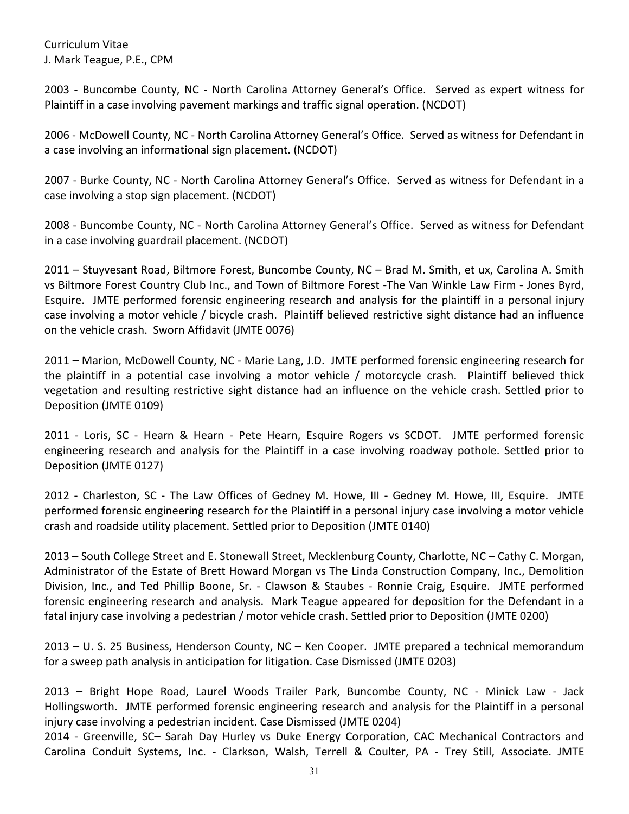2003 - Buncombe County, NC - North Carolina Attorney General's Office.Served as expert witness for Plaintiff in a case involving pavement markings and traffic signal operation. (NCDOT)

2006 - McDowell County, NC - North Carolina Attorney General's Office.Served as witness for Defendant in a case involving an informational sign placement. (NCDOT)

2007 - Burke County, NC - North Carolina Attorney General's Office.Served as witness for Defendant in a case involving a stop sign placement. (NCDOT)

2008 - Buncombe County, NC - North Carolina Attorney General's Office.Served as witness for Defendant in a case involving guardrail placement. (NCDOT)

2011 – Stuyvesant Road, Biltmore Forest, Buncombe County, NC – Brad M. Smith, et ux, Carolina A. Smith vs Biltmore Forest Country Club Inc., and Town of Biltmore Forest -The Van Winkle Law Firm - Jones Byrd, Esquire.JMTE performed forensic engineering research and analysis for the plaintiff in a personal injury case involving a motor vehicle / bicycle crash. Plaintiff believed restrictive sight distance had an influence on the vehicle crash. Sworn Affidavit (JMTE 0076)

2011 – Marion, McDowell County, NC - Marie Lang, J.D. JMTE performed forensic engineering research for the plaintiff in a potential case involving a motor vehicle / motorcycle crash. Plaintiff believed thick vegetation and resulting restrictive sight distance had an influence on the vehicle crash. Settled prior to Deposition (JMTE 0109)

2011 - Loris, SC - Hearn & Hearn - Pete Hearn, Esquire Rogers vs SCDOT. JMTE performed forensic engineering research and analysis for the Plaintiff in a case involving roadway pothole. Settled prior to Deposition (JMTE 0127)

2012 - Charleston, SC - The Law Offices of Gedney M. Howe, III - Gedney M. Howe, III, Esquire.JMTE performed forensic engineering research for the Plaintiff in a personal injury case involving a motor vehicle crash and roadside utility placement. Settled prior to Deposition (JMTE 0140)

2013 – South College Street and E. Stonewall Street, Mecklenburg County, Charlotte, NC – Cathy C. Morgan, Administrator of the Estate of Brett Howard Morgan vs The Linda Construction Company, Inc., Demolition Division, Inc., and Ted Phillip Boone, Sr. - Clawson & Staubes - Ronnie Craig, Esquire.JMTE performed forensic engineering research and analysis. Mark Teague appeared for deposition for the Defendant in a fatal injury case involving a pedestrian / motor vehicle crash. Settled prior to Deposition (JMTE 0200)

2013 – U. S. 25 Business, Henderson County, NC – Ken Cooper. JMTE prepared a technical memorandum for a sweep path analysis in anticipation for litigation. Case Dismissed (JMTE 0203)

2013 – Bright Hope Road, Laurel Woods Trailer Park, Buncombe County, NC - Minick Law - Jack Hollingsworth.JMTE performed forensic engineering research and analysis for the Plaintiff in a personal injury case involving a pedestrian incident. Case Dismissed (JMTE 0204)

2014 - Greenville, SC– Sarah Day Hurley vs Duke Energy Corporation, CAC Mechanical Contractors and Carolina Conduit Systems, Inc. - Clarkson, Walsh, Terrell & Coulter, PA - Trey Still, Associate. JMTE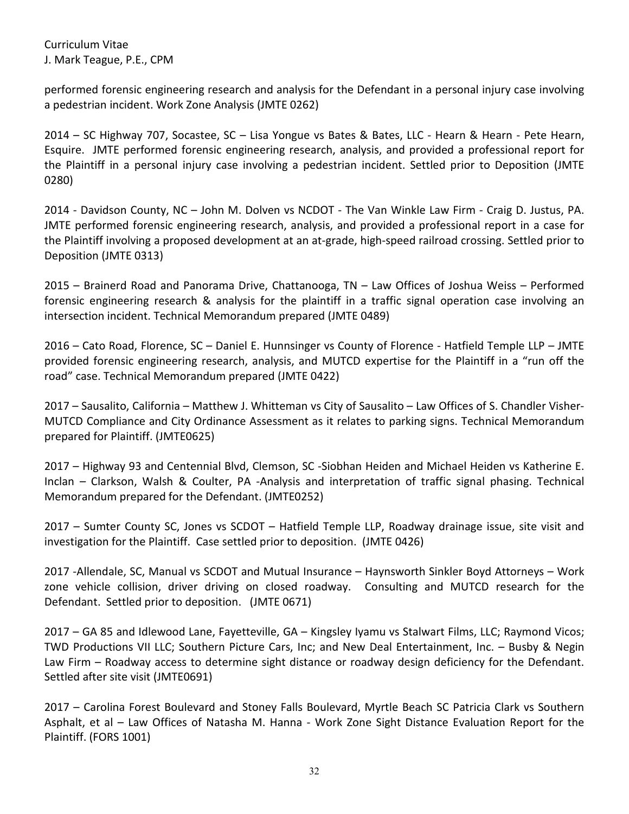performed forensic engineering research and analysis for the Defendant in a personal injury case involving a pedestrian incident. Work Zone Analysis (JMTE 0262)

2014 – SC Highway 707, Socastee, SC – Lisa Yongue vs Bates & Bates, LLC - Hearn & Hearn - Pete Hearn, Esquire. JMTE performed forensic engineering research, analysis, and provided a professional report for the Plaintiff in a personal injury case involving a pedestrian incident. Settled prior to Deposition (JMTE 0280)

2014 - Davidson County, NC – John M. Dolven vs NCDOT - The Van Winkle Law Firm - Craig D. Justus, PA. JMTE performed forensic engineering research, analysis, and provided a professional report in a case for the Plaintiff involving a proposed development at an at-grade, high-speed railroad crossing. Settled prior to Deposition (JMTE 0313)

2015 – Brainerd Road and Panorama Drive, Chattanooga, TN – Law Offices of Joshua Weiss – Performed forensic engineering research & analysis for the plaintiff in a traffic signal operation case involving an intersection incident. Technical Memorandum prepared (JMTE 0489)

2016 – Cato Road, Florence, SC – Daniel E. Hunnsinger vs County of Florence - Hatfield Temple LLP – JMTE provided forensic engineering research, analysis, and MUTCD expertise for the Plaintiff in a "run off the road" case. Technical Memorandum prepared (JMTE 0422)

2017 – Sausalito, California – Matthew J. Whitteman vs City of Sausalito – Law Offices of S. Chandler Visher-MUTCD Compliance and City Ordinance Assessment as it relates to parking signs. Technical Memorandum prepared for Plaintiff. (JMTE0625)

2017 – Highway 93 and Centennial Blvd, Clemson, SC -Siobhan Heiden and Michael Heiden vs Katherine E. Inclan – Clarkson, Walsh & Coulter, PA -Analysis and interpretation of traffic signal phasing. Technical Memorandum prepared for the Defendant. (JMTE0252)

2017 – Sumter County SC, Jones vs SCDOT – Hatfield Temple LLP, Roadway drainage issue, site visit and investigation for the Plaintiff. Case settled prior to deposition. (JMTE 0426)

2017 -Allendale, SC, Manual vs SCDOT and Mutual Insurance – Haynsworth Sinkler Boyd Attorneys – Work zone vehicle collision, driver driving on closed roadway. Consulting and MUTCD research for the Defendant. Settled prior to deposition. (JMTE 0671)

2017 – GA 85 and Idlewood Lane, Fayetteville, GA – Kingsley Iyamu vs Stalwart Films, LLC; Raymond Vicos; TWD Productions VII LLC; Southern Picture Cars, Inc; and New Deal Entertainment, Inc. – Busby & Negin Law Firm – Roadway access to determine sight distance or roadway design deficiency for the Defendant. Settled after site visit (JMTE0691)

2017 – Carolina Forest Boulevard and Stoney Falls Boulevard, Myrtle Beach SC Patricia Clark vs Southern Asphalt, et al – Law Offices of Natasha M. Hanna - Work Zone Sight Distance Evaluation Report for the Plaintiff. (FORS 1001)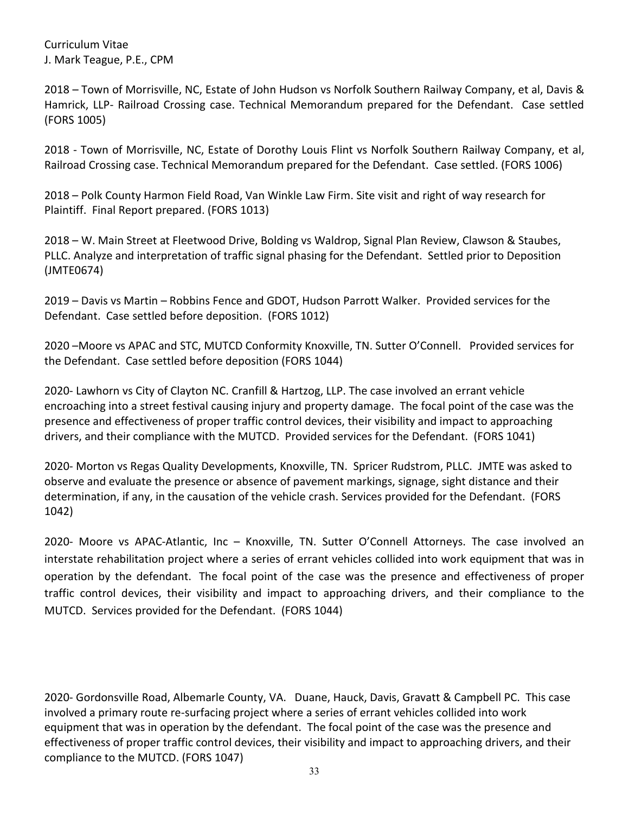2018 – Town of Morrisville, NC, Estate of John Hudson vs Norfolk Southern Railway Company, et al, Davis & Hamrick, LLP- Railroad Crossing case. Technical Memorandum prepared for the Defendant. Case settled (FORS 1005)

2018 - Town of Morrisville, NC, Estate of Dorothy Louis Flint vs Norfolk Southern Railway Company, et al, Railroad Crossing case. Technical Memorandum prepared for the Defendant. Case settled. (FORS 1006)

2018 – Polk County Harmon Field Road, Van Winkle Law Firm. Site visit and right of way research for Plaintiff. Final Report prepared. (FORS 1013)

2018 – W. Main Street at Fleetwood Drive, Bolding vs Waldrop, Signal Plan Review, Clawson & Staubes, PLLC. Analyze and interpretation of traffic signal phasing for the Defendant. Settled prior to Deposition (JMTE0674)

2019 – Davis vs Martin – Robbins Fence and GDOT, Hudson Parrott Walker. Provided services for the Defendant. Case settled before deposition. (FORS 1012)

2020 –Moore vs APAC and STC, MUTCD Conformity Knoxville, TN. Sutter O'Connell. Provided services for the Defendant. Case settled before deposition (FORS 1044)

2020- Lawhorn vs City of Clayton NC. Cranfill & Hartzog, LLP. The case involved an errant vehicle encroaching into a street festival causing injury and property damage. The focal point of the case was the presence and effectiveness of proper traffic control devices, their visibility and impact to approaching drivers, and their compliance with the MUTCD. Provided services for the Defendant. (FORS 1041)

2020- Morton vs Regas Quality Developments, Knoxville, TN. Spricer Rudstrom, PLLC. JMTE was asked to observe and evaluate the presence or absence of pavement markings, signage, sight distance and their determination, if any, in the causation of the vehicle crash. Services provided for the Defendant. (FORS 1042)

2020- Moore vs APAC-Atlantic, Inc – Knoxville, TN. Sutter O'Connell Attorneys. The case involved an interstate rehabilitation project where a series of errant vehicles collided into work equipment that was in operation by the defendant. The focal point of the case was the presence and effectiveness of proper traffic control devices, their visibility and impact to approaching drivers, and their compliance to the MUTCD. Services provided for the Defendant. (FORS 1044)

2020- Gordonsville Road, Albemarle County, VA. Duane, Hauck, Davis, Gravatt & Campbell PC. This case involved a primary route re-surfacing project where a series of errant vehicles collided into work equipment that was in operation by the defendant. The focal point of the case was the presence and effectiveness of proper traffic control devices, their visibility and impact to approaching drivers, and their compliance to the MUTCD. (FORS 1047)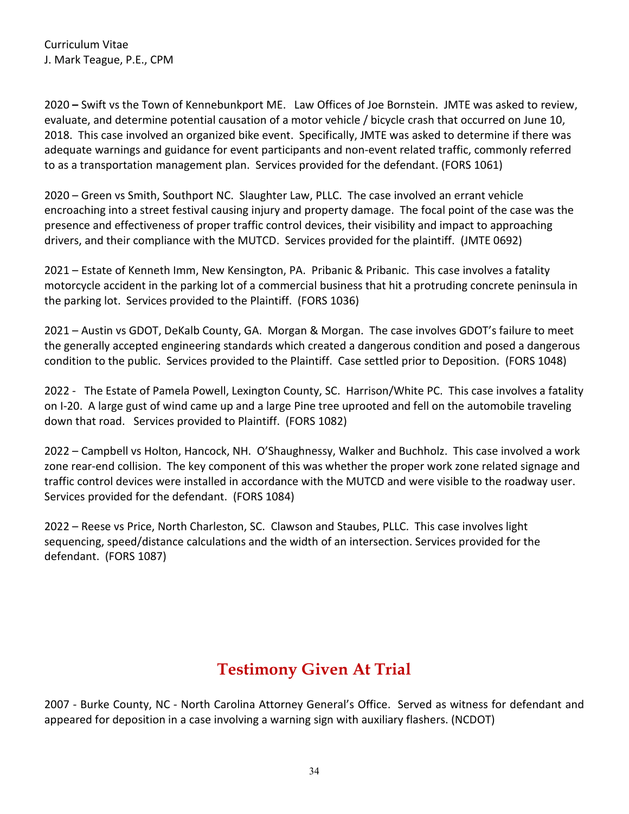2020 **–** Swift vs the Town of Kennebunkport ME. Law Offices of Joe Bornstein. JMTE was asked to review, evaluate, and determine potential causation of a motor vehicle / bicycle crash that occurred on June 10, 2018. This case involved an organized bike event. Specifically, JMTE was asked to determine if there was adequate warnings and guidance for event participants and non-event related traffic, commonly referred to as a transportation management plan. Services provided for the defendant. (FORS 1061)

2020 – Green vs Smith, Southport NC. Slaughter Law, PLLC. The case involved an errant vehicle encroaching into a street festival causing injury and property damage. The focal point of the case was the presence and effectiveness of proper traffic control devices, their visibility and impact to approaching drivers, and their compliance with the MUTCD. Services provided for the plaintiff. (JMTE 0692)

2021 – Estate of Kenneth Imm, New Kensington, PA. Pribanic & Pribanic. This case involves a fatality motorcycle accident in the parking lot of a commercial business that hit a protruding concrete peninsula in the parking lot. Services provided to the Plaintiff. (FORS 1036)

2021 – Austin vs GDOT, DeKalb County, GA. Morgan & Morgan. The case involves GDOT's failure to meet the generally accepted engineering standards which created a dangerous condition and posed a dangerous condition to the public. Services provided to the Plaintiff. Case settled prior to Deposition. (FORS 1048)

2022 - The Estate of Pamela Powell, Lexington County, SC. Harrison/White PC. This case involves a fatality on I-20. A large gust of wind came up and a large Pine tree uprooted and fell on the automobile traveling down that road. Services provided to Plaintiff. (FORS 1082)

2022 – Campbell vs Holton, Hancock, NH. O'Shaughnessy, Walker and Buchholz. This case involved a work zone rear-end collision. The key component of this was whether the proper work zone related signage and traffic control devices were installed in accordance with the MUTCD and were visible to the roadway user. Services provided for the defendant. (FORS 1084)

2022 – Reese vs Price, North Charleston, SC. Clawson and Staubes, PLLC. This case involves light sequencing, speed/distance calculations and the width of an intersection. Services provided for the defendant. (FORS 1087)

## **Testimony Given At Trial**

<span id="page-33-0"></span>2007 - Burke County, NC - North Carolina Attorney General's Office.Served as witness for defendant and appeared for deposition in a case involving a warning sign with auxiliary flashers. (NCDOT)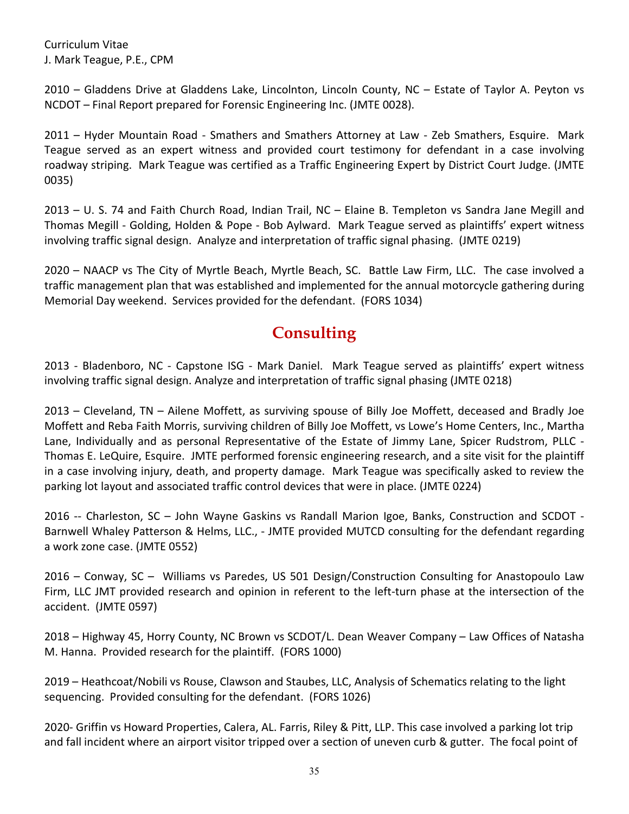2010 – Gladdens Drive at Gladdens Lake, Lincolnton, Lincoln County, NC – Estate of Taylor A. Peyton vs NCDOT – Final Report prepared for Forensic Engineering Inc. (JMTE 0028).

2011 – Hyder Mountain Road - Smathers and Smathers Attorney at Law - Zeb Smathers, Esquire.Mark Teague served as an expert witness and provided court testimony for defendant in a case involving roadway striping. Mark Teague was certified as a Traffic Engineering Expert by District Court Judge. (JMTE 0035)

2013 – U. S. 74 and Faith Church Road, Indian Trail, NC – Elaine B. Templeton vs Sandra Jane Megill and Thomas Megill - Golding, Holden & Pope - Bob Aylward.Mark Teague served as plaintiffs' expert witness involving traffic signal design. Analyze and interpretation of traffic signal phasing. (JMTE 0219)

2020 – NAACP vs The City of Myrtle Beach, Myrtle Beach, SC. Battle Law Firm, LLC. The case involved a traffic management plan that was established and implemented for the annual motorcycle gathering during Memorial Day weekend. Services provided for the defendant. (FORS 1034)

#### **Consulting**

<span id="page-34-0"></span>2013 - Bladenboro, NC - Capstone ISG - Mark Daniel.Mark Teague served as plaintiffs' expert witness involving traffic signal design. Analyze and interpretation of traffic signal phasing (JMTE 0218)

2013 – Cleveland, TN – Ailene Moffett, as surviving spouse of Billy Joe Moffett, deceased and Bradly Joe Moffett and Reba Faith Morris, surviving children of Billy Joe Moffett, vs Lowe's Home Centers, Inc., Martha Lane, Individually and as personal Representative of the Estate of Jimmy Lane, Spicer Rudstrom, PLLC - Thomas E. LeQuire, Esquire.JMTE performed forensic engineering research, and a site visit for the plaintiff in a case involving injury, death, and property damage. Mark Teague was specifically asked to review the parking lot layout and associated traffic control devices that were in place. (JMTE 0224)

2016 -- Charleston, SC – John Wayne Gaskins vs Randall Marion Igoe, Banks, Construction and SCDOT - Barnwell Whaley Patterson & Helms, LLC., - JMTE provided MUTCD consulting for the defendant regarding a work zone case. (JMTE 0552)

2016 – Conway, SC – Williams vs Paredes, US 501 Design/Construction Consulting for Anastopoulo Law Firm, LLC JMT provided research and opinion in referent to the left-turn phase at the intersection of the accident. (JMTE 0597)

2018 – Highway 45, Horry County, NC Brown vs SCDOT/L. Dean Weaver Company – Law Offices of Natasha M. Hanna. Provided research for the plaintiff. (FORS 1000)

2019 – Heathcoat/Nobili vs Rouse, Clawson and Staubes, LLC, Analysis of Schematics relating to the light sequencing. Provided consulting for the defendant. (FORS 1026)

2020- Griffin vs Howard Properties, Calera, AL. Farris, Riley & Pitt, LLP. This case involved a parking lot trip and fall incident where an airport visitor tripped over a section of uneven curb & gutter. The focal point of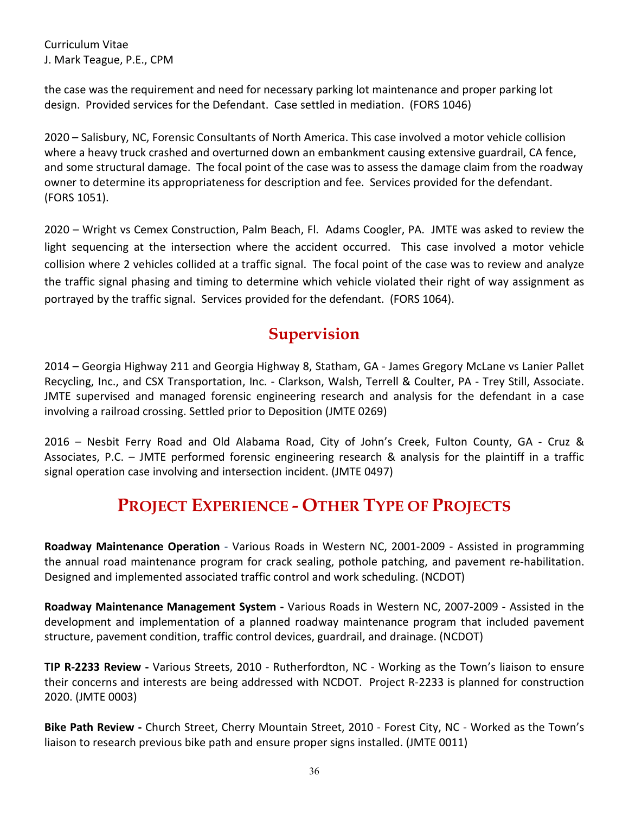the case was the requirement and need for necessary parking lot maintenance and proper parking lot design. Provided services for the Defendant. Case settled in mediation. (FORS 1046)

2020 – Salisbury, NC, Forensic Consultants of North America. This case involved a motor vehicle collision where a heavy truck crashed and overturned down an embankment causing extensive guardrail, CA fence, and some structural damage. The focal point of the case was to assess the damage claim from the roadway owner to determine its appropriateness for description and fee. Services provided for the defendant. (FORS 1051).

2020 – Wright vs Cemex Construction, Palm Beach, Fl. Adams Coogler, PA. JMTE was asked to review the light sequencing at the intersection where the accident occurred. This case involved a motor vehicle collision where 2 vehicles collided at a traffic signal. The focal point of the case was to review and analyze the traffic signal phasing and timing to determine which vehicle violated their right of way assignment as portrayed by the traffic signal. Services provided for the defendant. (FORS 1064).

#### **Supervision**

<span id="page-35-0"></span>2014 – Georgia Highway 211 and Georgia Highway 8, Statham, GA - James Gregory McLane vs Lanier Pallet Recycling, Inc., and CSX Transportation, Inc. - Clarkson, Walsh, Terrell & Coulter, PA - Trey Still, Associate. JMTE supervised and managed forensic engineering research and analysis for the defendant in a case involving a railroad crossing. Settled prior to Deposition (JMTE 0269)

2016 – Nesbit Ferry Road and Old Alabama Road, City of John's Creek, Fulton County, GA - Cruz & Associates, P.C. – JMTE performed forensic engineering research & analysis for the plaintiff in a traffic signal operation case involving and intersection incident. (JMTE 0497)

## **PROJECT EXPERIENCE - OTHER TYPE OF PROJECTS**

<span id="page-35-1"></span>**Roadway Maintenance Operation** - Various Roads in Western NC, 2001-2009 - Assisted in programming the annual road maintenance program for crack sealing, pothole patching, and pavement re-habilitation. Designed and implemented associated traffic control and work scheduling. (NCDOT)

**Roadway Maintenance Management System -** Various Roads in Western NC, 2007-2009 - Assisted in the development and implementation of a planned roadway maintenance program that included pavement structure, pavement condition, traffic control devices, guardrail, and drainage. (NCDOT)

**TIP R-2233 Review -** Various Streets, 2010 - Rutherfordton, NC - Working as the Town's liaison to ensure their concerns and interests are being addressed with NCDOT. Project R-2233 is planned for construction 2020. (JMTE 0003)

**Bike Path Review -** Church Street, Cherry Mountain Street, 2010 - Forest City, NC - Worked as the Town's liaison to research previous bike path and ensure proper signs installed. (JMTE 0011)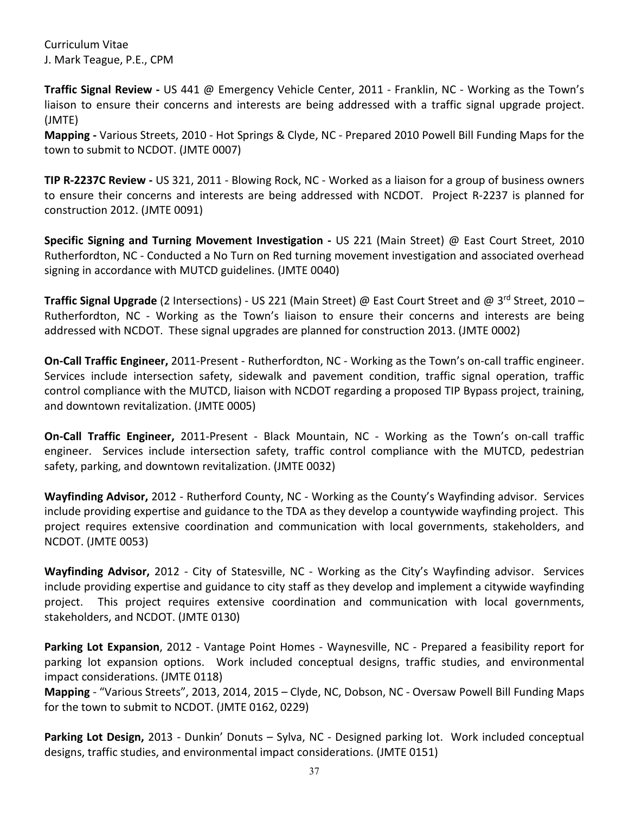**Traffic Signal Review -** US 441 @ Emergency Vehicle Center, 2011 - Franklin, NC - Working as the Town's liaison to ensure their concerns and interests are being addressed with a traffic signal upgrade project. (JMTE)

**Mapping -** Various Streets, 2010 - Hot Springs & Clyde, NC - Prepared 2010 Powell Bill Funding Maps for the town to submit to NCDOT. (JMTE 0007)

**TIP R-2237C Review -** US 321, 2011 - Blowing Rock, NC - Worked as a liaison for a group of business owners to ensure their concerns and interests are being addressed with NCDOT. Project R-2237 is planned for construction 2012. (JMTE 0091)

**Specific Signing and Turning Movement Investigation -** US 221 (Main Street) @ East Court Street, 2010 Rutherfordton, NC - Conducted a No Turn on Red turning movement investigation and associated overhead signing in accordance with MUTCD guidelines. (JMTE 0040)

**Traffic Signal Upgrade** (2 Intersections) - US 221 (Main Street) @ East Court Street and @ 3rd Street, 2010 – Rutherfordton, NC - Working as the Town's liaison to ensure their concerns and interests are being addressed with NCDOT. These signal upgrades are planned for construction 2013. (JMTE 0002)

**On-Call Traffic Engineer,** 2011-Present - Rutherfordton, NC - Working as the Town's on-call traffic engineer. Services include intersection safety, sidewalk and pavement condition, traffic signal operation, traffic control compliance with the MUTCD, liaison with NCDOT regarding a proposed TIP Bypass project, training, and downtown revitalization. (JMTE 0005)

**On-Call Traffic Engineer,** 2011-Present - Black Mountain, NC - Working as the Town's on-call traffic engineer. Services include intersection safety, traffic control compliance with the MUTCD, pedestrian safety, parking, and downtown revitalization. (JMTE 0032)

**Wayfinding Advisor,** 2012 - Rutherford County, NC - Working as the County's Wayfinding advisor. Services include providing expertise and guidance to the TDA as they develop a countywide wayfinding project. This project requires extensive coordination and communication with local governments, stakeholders, and NCDOT. (JMTE 0053)

**Wayfinding Advisor,** 2012 - City of Statesville, NC - Working as the City's Wayfinding advisor. Services include providing expertise and guidance to city staff as they develop and implement a citywide wayfinding project. This project requires extensive coordination and communication with local governments, stakeholders, and NCDOT. (JMTE 0130)

**Parking Lot Expansion**, 2012 - Vantage Point Homes - Waynesville, NC - Prepared a feasibility report for parking lot expansion options. Work included conceptual designs, traffic studies, and environmental impact considerations. (JMTE 0118)

**Mapping** - "Various Streets", 2013, 2014, 2015 – Clyde, NC, Dobson, NC - Oversaw Powell Bill Funding Maps for the town to submit to NCDOT. (JMTE 0162, 0229)

**Parking Lot Design,** 2013 - Dunkin' Donuts – Sylva, NC - Designed parking lot. Work included conceptual designs, traffic studies, and environmental impact considerations. (JMTE 0151)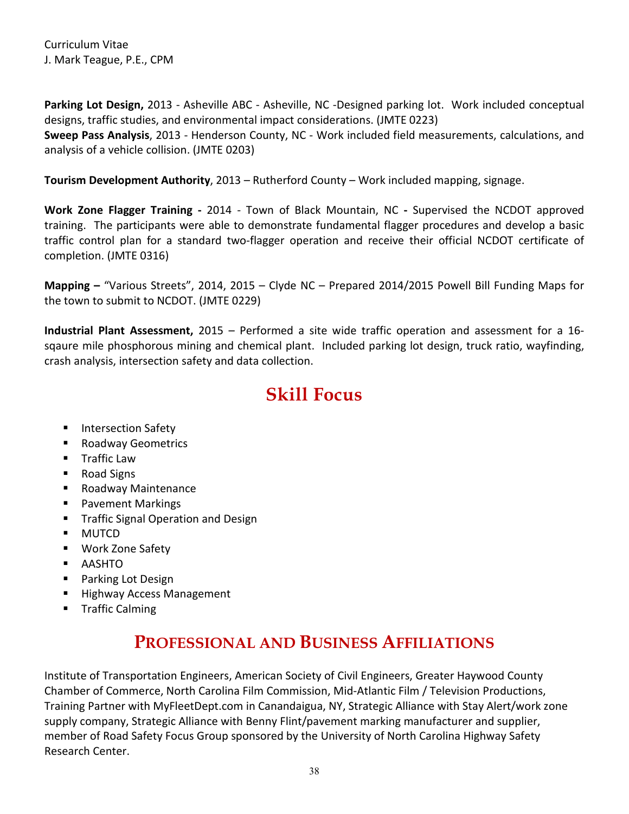**Parking Lot Design,** 2013 - Asheville ABC - Asheville, NC -Designed parking lot. Work included conceptual designs, traffic studies, and environmental impact considerations. (JMTE 0223)

**Sweep Pass Analysis**, 2013 - Henderson County, NC - Work included field measurements, calculations, and analysis of a vehicle collision. (JMTE 0203)

**Tourism Development Authority**, 2013 – Rutherford County – Work included mapping, signage.

**Work Zone Flagger Training -** 2014 - Town of Black Mountain, NC **-** Supervised the NCDOT approved training. The participants were able to demonstrate fundamental flagger procedures and develop a basic traffic control plan for a standard two-flagger operation and receive their official NCDOT certificate of completion. (JMTE 0316)

**Mapping –** "Various Streets", 2014, 2015 – Clyde NC – Prepared 2014/2015 Powell Bill Funding Maps for the town to submit to NCDOT. (JMTE 0229)

**Industrial Plant Assessment,** 2015 – Performed a site wide traffic operation and assessment for a 16 sqaure mile phosphorous mining and chemical plant. Included parking lot design, truck ratio, wayfinding, crash analysis, intersection safety and data collection.

# **Skill Focus**

- <span id="page-37-0"></span>**Intersection Safety**
- Roadway Geometrics
- **Traffic Law**
- Road Signs
- Roadway Maintenance
- **Pavement Markings**
- **Traffic Signal Operation and Design**
- **MUTCD**
- Work Zone Safety
- AASHTO
- **Parking Lot Design**
- Highway Access Management
- <span id="page-37-1"></span>**Traffic Calming**

## **PROFESSIONAL AND BUSINESS AFFILIATIONS**

Institute of Transportation Engineers, American Society of Civil Engineers, Greater Haywood County Chamber of Commerce, North Carolina Film Commission, Mid-Atlantic Film / Television Productions, Training Partner with MyFleetDept.com in Canandaigua, NY, Strategic Alliance with Stay Alert/work zone supply company, Strategic Alliance with Benny Flint/pavement marking manufacturer and supplier, member of Road Safety Focus Group sponsored by the University of North Carolina Highway Safety Research Center.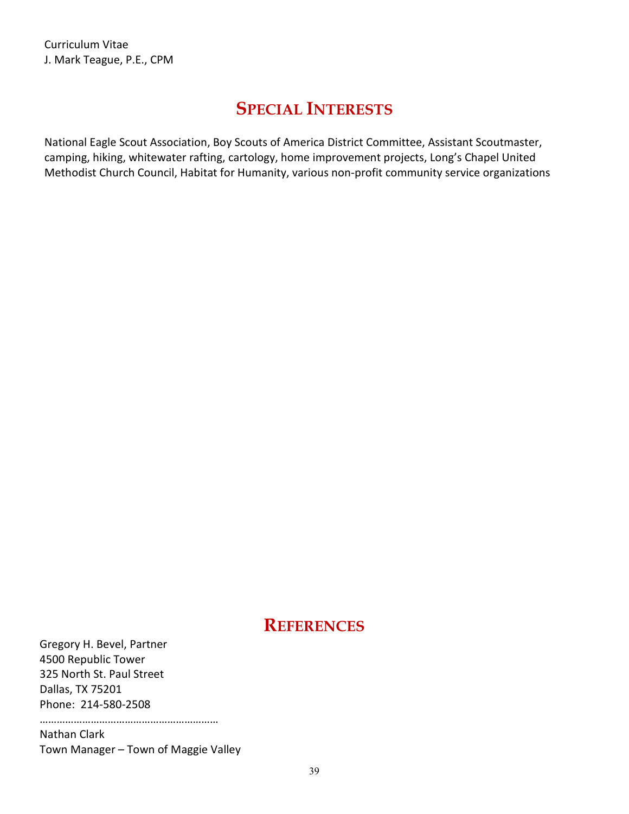#### **SPECIAL INTERESTS**

<span id="page-38-0"></span>National Eagle Scout Association, Boy Scouts of America District Committee, Assistant Scoutmaster, camping, hiking, whitewater rafting, cartology, home improvement projects, Long's Chapel United Methodist Church Council, Habitat for Humanity, various non-profit community service organizations

#### **REFERENCES**

<span id="page-38-1"></span>Gregory H. Bevel, Partner 4500 Republic Tower 325 North St. Paul Street Dallas, TX 75201 Phone: 214-580-2508

……………………………………………………… Nathan Clark

Town Manager – Town of Maggie Valley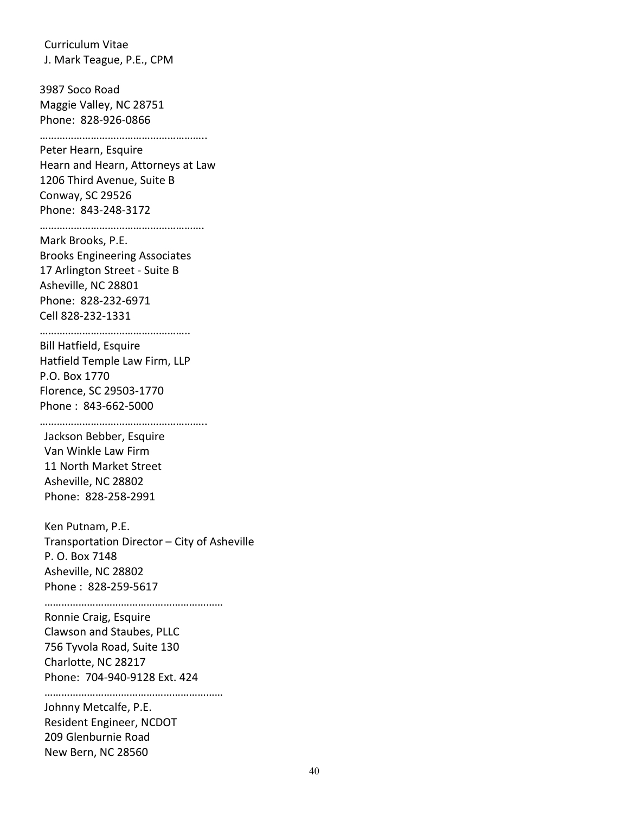3987 Soco Road Maggie Valley, NC 28751 Phone: 828-926-0866

………………………………………………… Peter Hearn, Esquire

Hearn and Hearn, Attorneys at Law 1206 Third Avenue, Suite B Conway, SC 29526 Phone: 843-248-3172

………………………………………………….

Mark Brooks, P.E. Brooks Engineering Associates 17 Arlington Street - Suite B Asheville, NC 28801 Phone: 828-232-6971 Cell 828-232-1331

………………………………………………

Bill Hatfield, Esquire Hatfield Temple Law Firm, LLP P.O. Box 1770 Florence, SC 29503-1770 Phone : 843-662-5000

…………………………………………………..

Jackson Bebber, Esquire Van Winkle Law Firm 11 North Market Street Asheville, NC 28802 Phone: 828-258-2991

Ken Putnam, P.E. Transportation Director – City of Asheville P. O. Box 7148 Asheville, NC 28802 Phone : 828-259-5617

………………………………………………………

Ronnie Craig, Esquire Clawson and Staubes, PLLC 756 Tyvola Road, Suite 130 Charlotte, NC 28217 Phone: 704-940-9128 Ext. 424

………………………………………………………) Johnny Metcalfe, P.E. Resident Engineer, NCDOT 209 Glenburnie Road New Bern, NC 28560